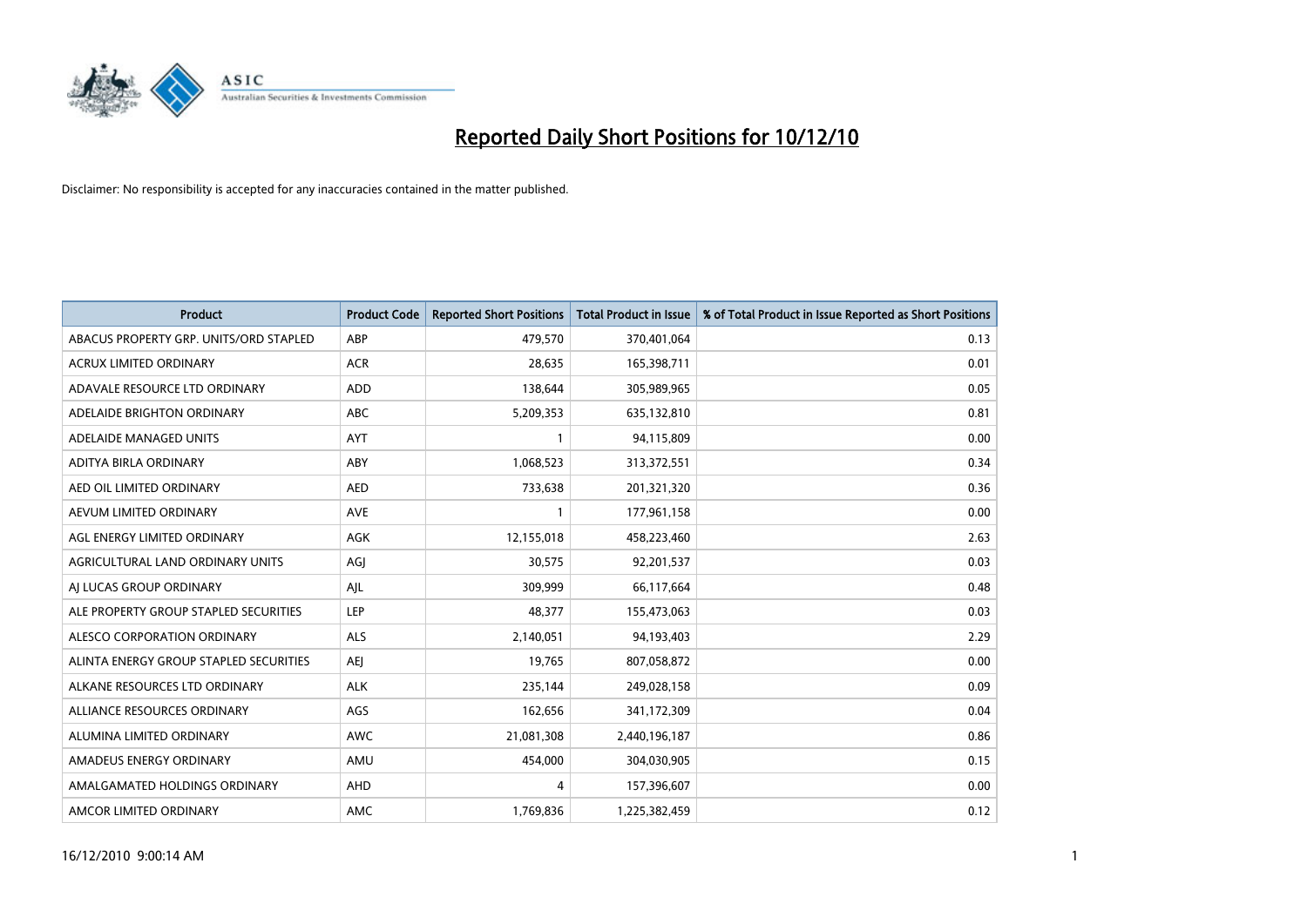

| Product                                | <b>Product Code</b> | <b>Reported Short Positions</b> | <b>Total Product in Issue</b> | % of Total Product in Issue Reported as Short Positions |
|----------------------------------------|---------------------|---------------------------------|-------------------------------|---------------------------------------------------------|
| ABACUS PROPERTY GRP. UNITS/ORD STAPLED | ABP                 | 479,570                         | 370,401,064                   | 0.13                                                    |
| ACRUX LIMITED ORDINARY                 | <b>ACR</b>          | 28,635                          | 165,398,711                   | 0.01                                                    |
| ADAVALE RESOURCE LTD ORDINARY          | <b>ADD</b>          | 138,644                         | 305,989,965                   | 0.05                                                    |
| ADELAIDE BRIGHTON ORDINARY             | <b>ABC</b>          | 5,209,353                       | 635,132,810                   | 0.81                                                    |
| ADELAIDE MANAGED UNITS                 | <b>AYT</b>          |                                 | 94,115,809                    | 0.00                                                    |
| ADITYA BIRLA ORDINARY                  | ABY                 | 1,068,523                       | 313,372,551                   | 0.34                                                    |
| AED OIL LIMITED ORDINARY               | <b>AED</b>          | 733,638                         | 201,321,320                   | 0.36                                                    |
| AEVUM LIMITED ORDINARY                 | <b>AVE</b>          |                                 | 177,961,158                   | 0.00                                                    |
| AGL ENERGY LIMITED ORDINARY            | AGK                 | 12,155,018                      | 458,223,460                   | 2.63                                                    |
| AGRICULTURAL LAND ORDINARY UNITS       | AGI                 | 30,575                          | 92,201,537                    | 0.03                                                    |
| AJ LUCAS GROUP ORDINARY                | AJL                 | 309,999                         | 66,117,664                    | 0.48                                                    |
| ALE PROPERTY GROUP STAPLED SECURITIES  | <b>LEP</b>          | 48,377                          | 155,473,063                   | 0.03                                                    |
| ALESCO CORPORATION ORDINARY            | <b>ALS</b>          | 2,140,051                       | 94,193,403                    | 2.29                                                    |
| ALINTA ENERGY GROUP STAPLED SECURITIES | <b>AEI</b>          | 19,765                          | 807,058,872                   | 0.00                                                    |
| ALKANE RESOURCES LTD ORDINARY          | <b>ALK</b>          | 235,144                         | 249,028,158                   | 0.09                                                    |
| ALLIANCE RESOURCES ORDINARY            | AGS                 | 162,656                         | 341,172,309                   | 0.04                                                    |
| ALUMINA LIMITED ORDINARY               | <b>AWC</b>          | 21,081,308                      | 2,440,196,187                 | 0.86                                                    |
| AMADEUS ENERGY ORDINARY                | AMU                 | 454,000                         | 304,030,905                   | 0.15                                                    |
| AMALGAMATED HOLDINGS ORDINARY          | <b>AHD</b>          | 4                               | 157,396,607                   | 0.00                                                    |
| AMCOR LIMITED ORDINARY                 | AMC                 | 1,769,836                       | 1,225,382,459                 | 0.12                                                    |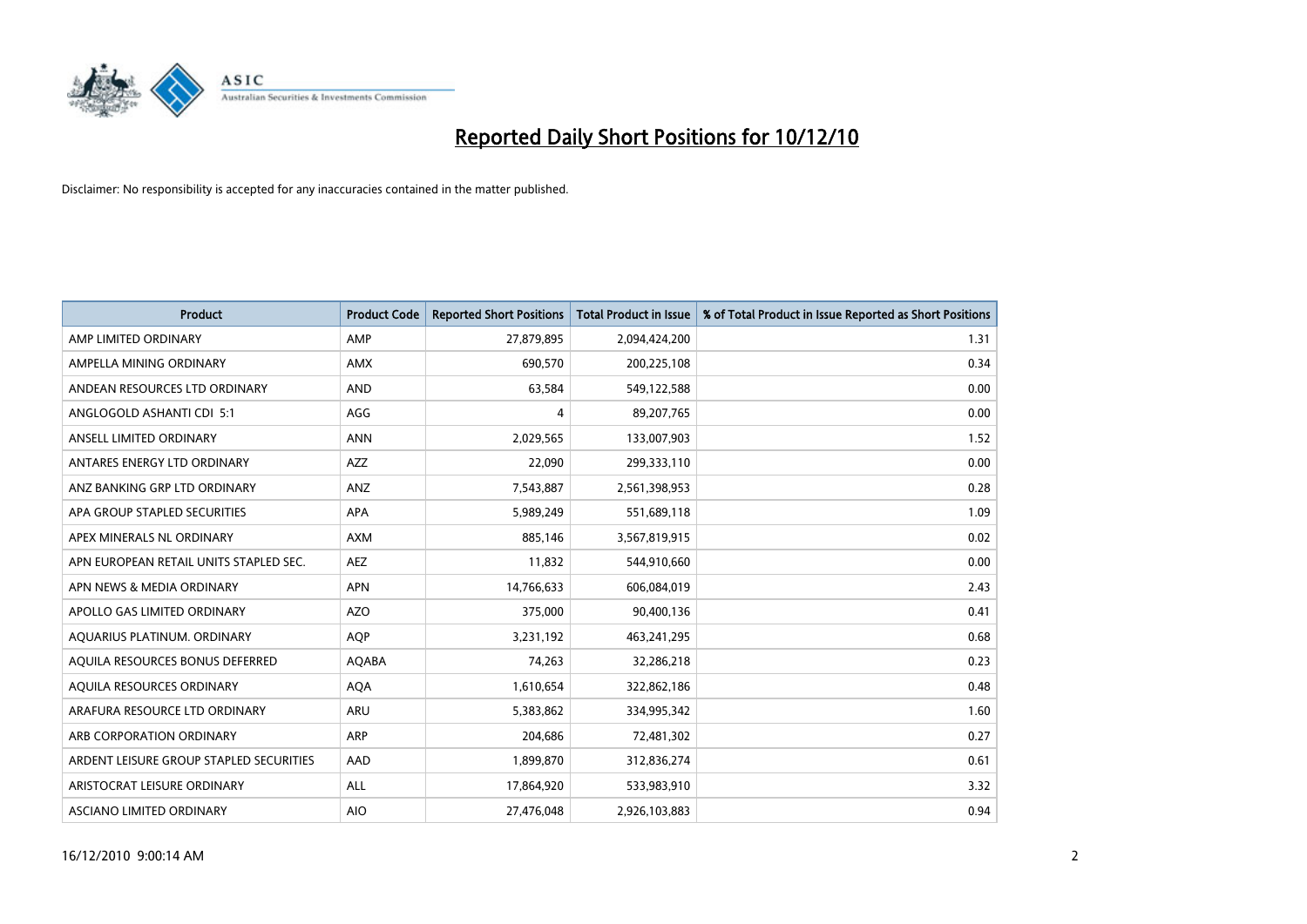

| <b>Product</b>                          | <b>Product Code</b> | <b>Reported Short Positions</b> | <b>Total Product in Issue</b> | % of Total Product in Issue Reported as Short Positions |
|-----------------------------------------|---------------------|---------------------------------|-------------------------------|---------------------------------------------------------|
| AMP LIMITED ORDINARY                    | AMP                 | 27,879,895                      | 2,094,424,200                 | 1.31                                                    |
| AMPELLA MINING ORDINARY                 | <b>AMX</b>          | 690,570                         | 200,225,108                   | 0.34                                                    |
| ANDEAN RESOURCES LTD ORDINARY           | <b>AND</b>          | 63,584                          | 549,122,588                   | 0.00                                                    |
| ANGLOGOLD ASHANTI CDI 5:1               | AGG                 | 4                               | 89,207,765                    | 0.00                                                    |
| ANSELL LIMITED ORDINARY                 | <b>ANN</b>          | 2,029,565                       | 133,007,903                   | 1.52                                                    |
| ANTARES ENERGY LTD ORDINARY             | <b>AZZ</b>          | 22,090                          | 299,333,110                   | 0.00                                                    |
| ANZ BANKING GRP LTD ORDINARY            | ANZ                 | 7,543,887                       | 2,561,398,953                 | 0.28                                                    |
| APA GROUP STAPLED SECURITIES            | APA                 | 5,989,249                       | 551,689,118                   | 1.09                                                    |
| APEX MINERALS NL ORDINARY               | <b>AXM</b>          | 885,146                         | 3,567,819,915                 | 0.02                                                    |
| APN EUROPEAN RETAIL UNITS STAPLED SEC.  | <b>AEZ</b>          | 11,832                          | 544,910,660                   | 0.00                                                    |
| APN NEWS & MEDIA ORDINARY               | <b>APN</b>          | 14,766,633                      | 606,084,019                   | 2.43                                                    |
| APOLLO GAS LIMITED ORDINARY             | <b>AZO</b>          | 375,000                         | 90,400,136                    | 0.41                                                    |
| AQUARIUS PLATINUM. ORDINARY             | <b>AOP</b>          | 3,231,192                       | 463,241,295                   | 0.68                                                    |
| AQUILA RESOURCES BONUS DEFERRED         | <b>AQABA</b>        | 74,263                          | 32,286,218                    | 0.23                                                    |
| AQUILA RESOURCES ORDINARY               | <b>AQA</b>          | 1,610,654                       | 322,862,186                   | 0.48                                                    |
| ARAFURA RESOURCE LTD ORDINARY           | ARU                 | 5,383,862                       | 334,995,342                   | 1.60                                                    |
| ARB CORPORATION ORDINARY                | <b>ARP</b>          | 204,686                         | 72,481,302                    | 0.27                                                    |
| ARDENT LEISURE GROUP STAPLED SECURITIES | AAD                 | 1,899,870                       | 312,836,274                   | 0.61                                                    |
| ARISTOCRAT LEISURE ORDINARY             | ALL                 | 17,864,920                      | 533,983,910                   | 3.32                                                    |
| ASCIANO LIMITED ORDINARY                | <b>AIO</b>          | 27.476.048                      | 2,926,103,883                 | 0.94                                                    |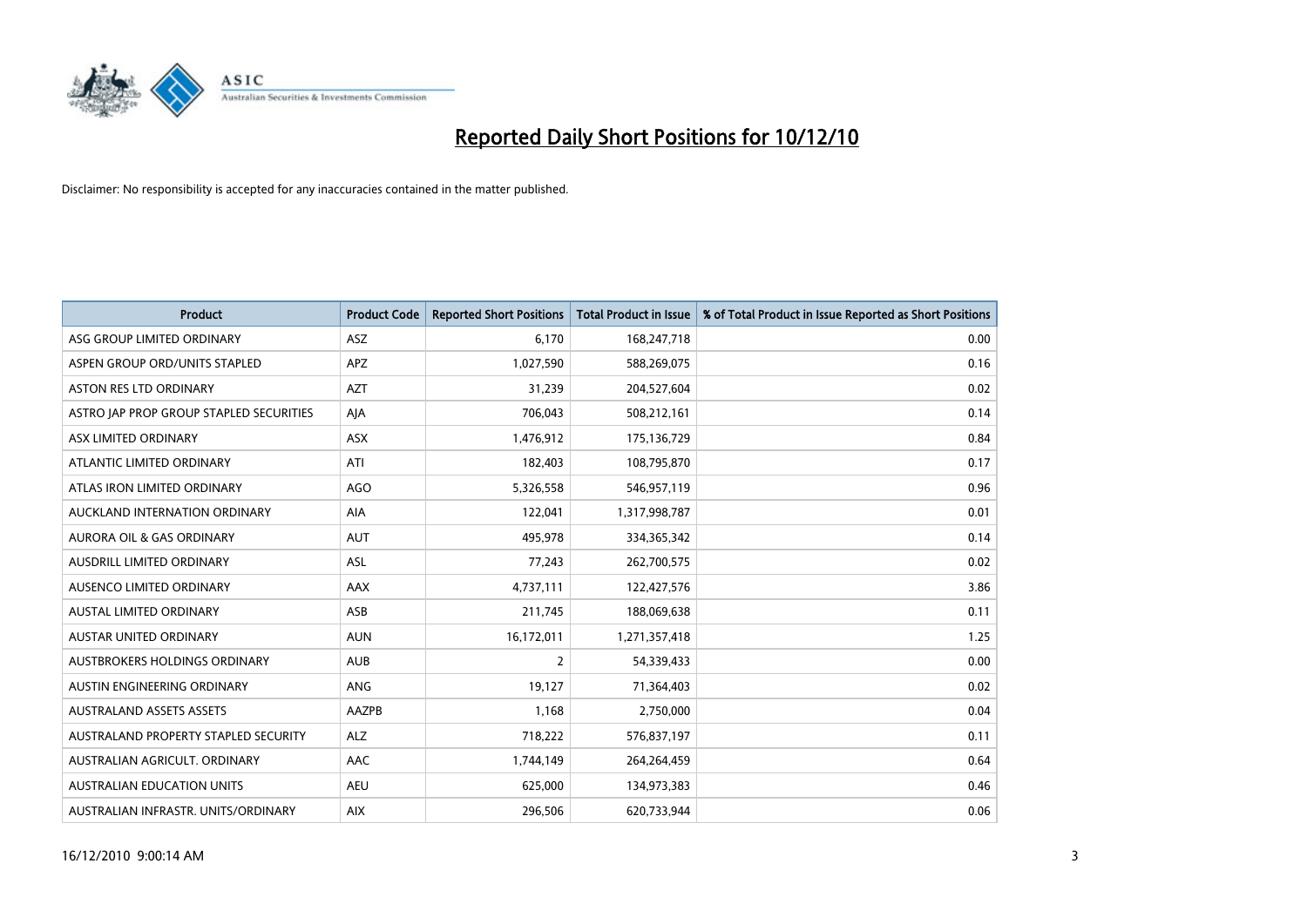

| Product                                 | <b>Product Code</b> | <b>Reported Short Positions</b> | Total Product in Issue | % of Total Product in Issue Reported as Short Positions |
|-----------------------------------------|---------------------|---------------------------------|------------------------|---------------------------------------------------------|
| ASG GROUP LIMITED ORDINARY              | <b>ASZ</b>          | 6,170                           | 168,247,718            | 0.00                                                    |
| ASPEN GROUP ORD/UNITS STAPLED           | <b>APZ</b>          | 1,027,590                       | 588,269,075            | 0.16                                                    |
| <b>ASTON RES LTD ORDINARY</b>           | <b>AZT</b>          | 31,239                          | 204,527,604            | 0.02                                                    |
| ASTRO JAP PROP GROUP STAPLED SECURITIES | AJA                 | 706,043                         | 508,212,161            | 0.14                                                    |
| ASX LIMITED ORDINARY                    | <b>ASX</b>          | 1,476,912                       | 175,136,729            | 0.84                                                    |
| ATLANTIC LIMITED ORDINARY               | ATI                 | 182,403                         | 108,795,870            | 0.17                                                    |
| ATLAS IRON LIMITED ORDINARY             | AGO                 | 5,326,558                       | 546,957,119            | 0.96                                                    |
| AUCKLAND INTERNATION ORDINARY           | AIA                 | 122,041                         | 1,317,998,787          | 0.01                                                    |
| AURORA OIL & GAS ORDINARY               | <b>AUT</b>          | 495,978                         | 334, 365, 342          | 0.14                                                    |
| AUSDRILL LIMITED ORDINARY               | <b>ASL</b>          | 77,243                          | 262,700,575            | 0.02                                                    |
| AUSENCO LIMITED ORDINARY                | <b>AAX</b>          | 4,737,111                       | 122,427,576            | 3.86                                                    |
| <b>AUSTAL LIMITED ORDINARY</b>          | ASB                 | 211,745                         | 188,069,638            | 0.11                                                    |
| AUSTAR UNITED ORDINARY                  | <b>AUN</b>          | 16,172,011                      | 1,271,357,418          | 1.25                                                    |
| AUSTBROKERS HOLDINGS ORDINARY           | <b>AUB</b>          | 2                               | 54,339,433             | 0.00                                                    |
| AUSTIN ENGINEERING ORDINARY             | <b>ANG</b>          | 19,127                          | 71,364,403             | 0.02                                                    |
| <b>AUSTRALAND ASSETS ASSETS</b>         | <b>AAZPB</b>        | 1,168                           | 2,750,000              | 0.04                                                    |
| AUSTRALAND PROPERTY STAPLED SECURITY    | <b>ALZ</b>          | 718,222                         | 576,837,197            | 0.11                                                    |
| AUSTRALIAN AGRICULT. ORDINARY           | AAC                 | 1,744,149                       | 264,264,459            | 0.64                                                    |
| <b>AUSTRALIAN EDUCATION UNITS</b>       | <b>AEU</b>          | 625,000                         | 134,973,383            | 0.46                                                    |
| AUSTRALIAN INFRASTR, UNITS/ORDINARY     | <b>AIX</b>          | 296,506                         | 620,733,944            | 0.06                                                    |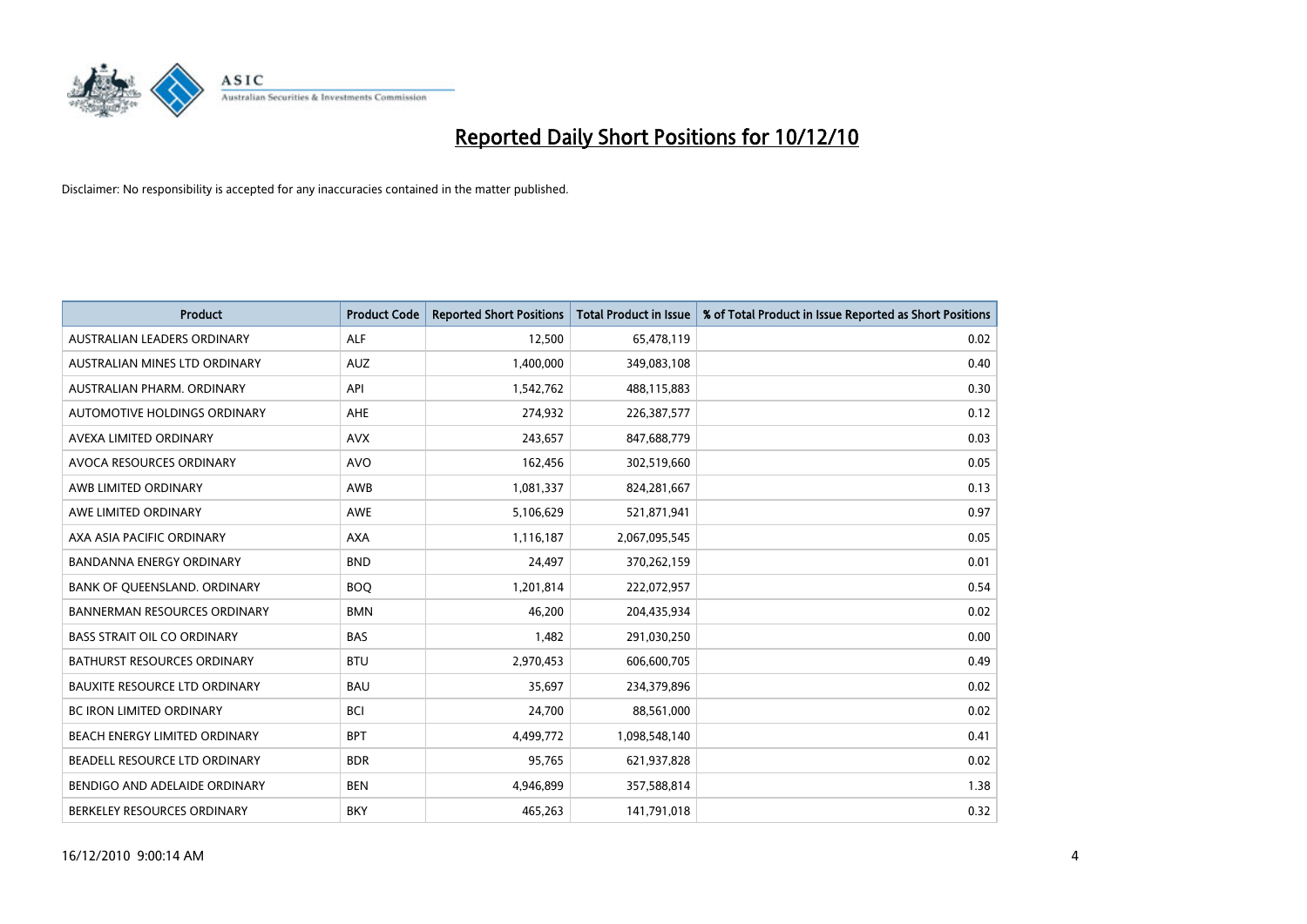

| Product                              | <b>Product Code</b> | <b>Reported Short Positions</b> | <b>Total Product in Issue</b> | % of Total Product in Issue Reported as Short Positions |
|--------------------------------------|---------------------|---------------------------------|-------------------------------|---------------------------------------------------------|
| <b>AUSTRALIAN LEADERS ORDINARY</b>   | <b>ALF</b>          | 12,500                          | 65,478,119                    | 0.02                                                    |
| AUSTRALIAN MINES LTD ORDINARY        | <b>AUZ</b>          | 1,400,000                       | 349,083,108                   | 0.40                                                    |
| AUSTRALIAN PHARM, ORDINARY           | API                 | 1,542,762                       | 488,115,883                   | 0.30                                                    |
| AUTOMOTIVE HOLDINGS ORDINARY         | AHE                 | 274,932                         | 226,387,577                   | 0.12                                                    |
| AVEXA LIMITED ORDINARY               | <b>AVX</b>          | 243,657                         | 847,688,779                   | 0.03                                                    |
| AVOCA RESOURCES ORDINARY             | <b>AVO</b>          | 162,456                         | 302,519,660                   | 0.05                                                    |
| AWB LIMITED ORDINARY                 | AWB                 | 1,081,337                       | 824,281,667                   | 0.13                                                    |
| AWE LIMITED ORDINARY                 | <b>AWE</b>          | 5,106,629                       | 521,871,941                   | 0.97                                                    |
| AXA ASIA PACIFIC ORDINARY            | <b>AXA</b>          | 1,116,187                       | 2,067,095,545                 | 0.05                                                    |
| <b>BANDANNA ENERGY ORDINARY</b>      | <b>BND</b>          | 24,497                          | 370,262,159                   | 0.01                                                    |
| BANK OF QUEENSLAND. ORDINARY         | <b>BOQ</b>          | 1,201,814                       | 222,072,957                   | 0.54                                                    |
| <b>BANNERMAN RESOURCES ORDINARY</b>  | <b>BMN</b>          | 46,200                          | 204,435,934                   | 0.02                                                    |
| BASS STRAIT OIL CO ORDINARY          | <b>BAS</b>          | 1,482                           | 291,030,250                   | 0.00                                                    |
| BATHURST RESOURCES ORDINARY          | <b>BTU</b>          | 2,970,453                       | 606,600,705                   | 0.49                                                    |
| <b>BAUXITE RESOURCE LTD ORDINARY</b> | <b>BAU</b>          | 35,697                          | 234,379,896                   | 0.02                                                    |
| BC IRON LIMITED ORDINARY             | <b>BCI</b>          | 24,700                          | 88,561,000                    | 0.02                                                    |
| BEACH ENERGY LIMITED ORDINARY        | <b>BPT</b>          | 4,499,772                       | 1,098,548,140                 | 0.41                                                    |
| BEADELL RESOURCE LTD ORDINARY        | <b>BDR</b>          | 95,765                          | 621,937,828                   | 0.02                                                    |
| BENDIGO AND ADELAIDE ORDINARY        | <b>BEN</b>          | 4,946,899                       | 357,588,814                   | 1.38                                                    |
| BERKELEY RESOURCES ORDINARY          | <b>BKY</b>          | 465,263                         | 141,791,018                   | 0.32                                                    |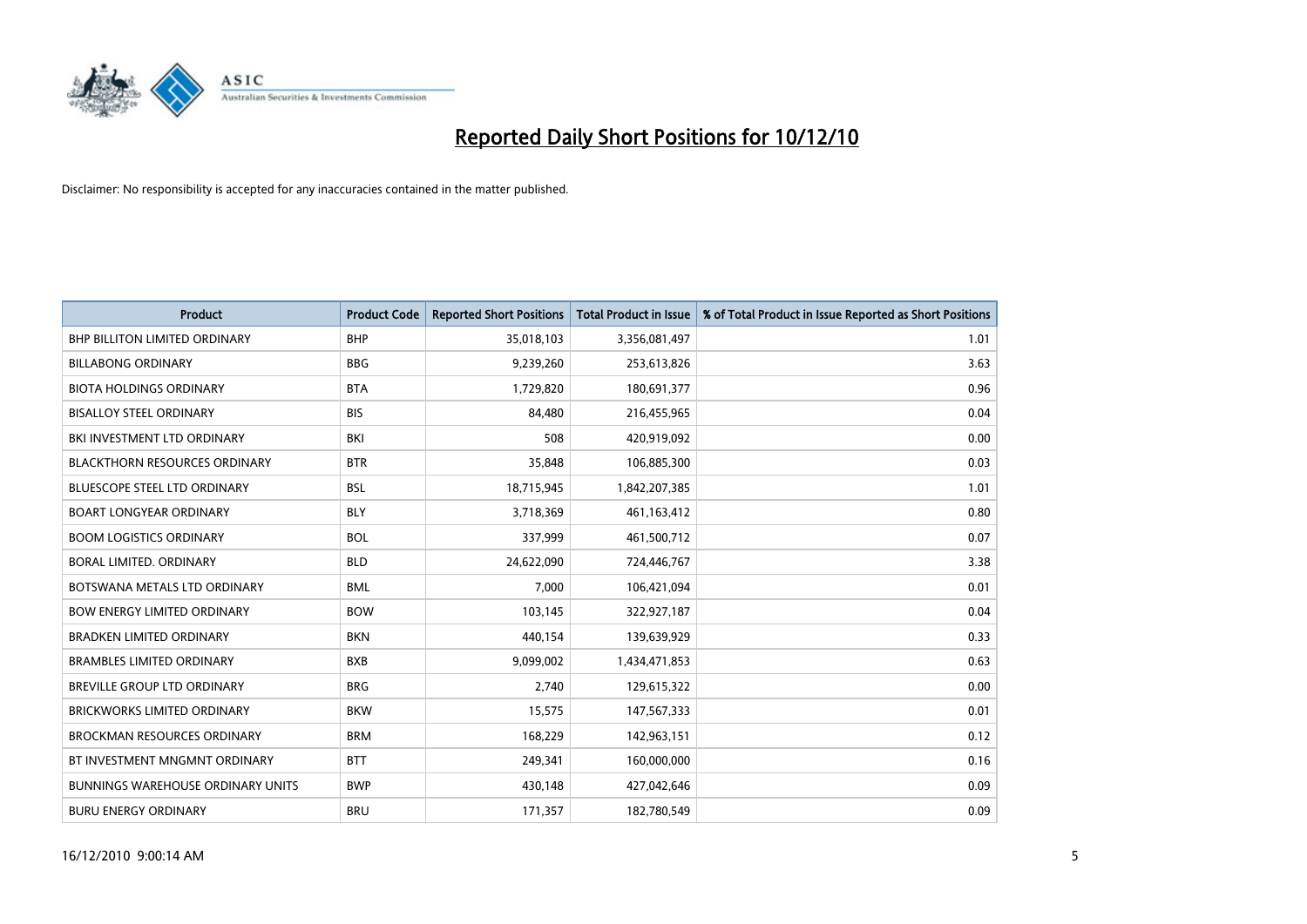

| <b>Product</b>                           | <b>Product Code</b> | <b>Reported Short Positions</b> | <b>Total Product in Issue</b> | % of Total Product in Issue Reported as Short Positions |
|------------------------------------------|---------------------|---------------------------------|-------------------------------|---------------------------------------------------------|
| <b>BHP BILLITON LIMITED ORDINARY</b>     | <b>BHP</b>          | 35,018,103                      | 3,356,081,497                 | 1.01                                                    |
| <b>BILLABONG ORDINARY</b>                | <b>BBG</b>          | 9,239,260                       | 253,613,826                   | 3.63                                                    |
| <b>BIOTA HOLDINGS ORDINARY</b>           | <b>BTA</b>          | 1,729,820                       | 180,691,377                   | 0.96                                                    |
| <b>BISALLOY STEEL ORDINARY</b>           | <b>BIS</b>          | 84,480                          | 216,455,965                   | 0.04                                                    |
| BKI INVESTMENT LTD ORDINARY              | <b>BKI</b>          | 508                             | 420,919,092                   | 0.00                                                    |
| <b>BLACKTHORN RESOURCES ORDINARY</b>     | <b>BTR</b>          | 35,848                          | 106,885,300                   | 0.03                                                    |
| <b>BLUESCOPE STEEL LTD ORDINARY</b>      | <b>BSL</b>          | 18,715,945                      | 1,842,207,385                 | 1.01                                                    |
| <b>BOART LONGYEAR ORDINARY</b>           | <b>BLY</b>          | 3,718,369                       | 461,163,412                   | 0.80                                                    |
| <b>BOOM LOGISTICS ORDINARY</b>           | <b>BOL</b>          | 337,999                         | 461,500,712                   | 0.07                                                    |
| BORAL LIMITED, ORDINARY                  | <b>BLD</b>          | 24,622,090                      | 724,446,767                   | 3.38                                                    |
| BOTSWANA METALS LTD ORDINARY             | <b>BML</b>          | 7,000                           | 106,421,094                   | 0.01                                                    |
| <b>BOW ENERGY LIMITED ORDINARY</b>       | <b>BOW</b>          | 103,145                         | 322,927,187                   | 0.04                                                    |
| <b>BRADKEN LIMITED ORDINARY</b>          | <b>BKN</b>          | 440,154                         | 139,639,929                   | 0.33                                                    |
| <b>BRAMBLES LIMITED ORDINARY</b>         | <b>BXB</b>          | 9,099,002                       | 1,434,471,853                 | 0.63                                                    |
| BREVILLE GROUP LTD ORDINARY              | <b>BRG</b>          | 2,740                           | 129,615,322                   | 0.00                                                    |
| BRICKWORKS LIMITED ORDINARY              | <b>BKW</b>          | 15,575                          | 147,567,333                   | 0.01                                                    |
| <b>BROCKMAN RESOURCES ORDINARY</b>       | <b>BRM</b>          | 168,229                         | 142,963,151                   | 0.12                                                    |
| BT INVESTMENT MNGMNT ORDINARY            | <b>BTT</b>          | 249,341                         | 160,000,000                   | 0.16                                                    |
| <b>BUNNINGS WAREHOUSE ORDINARY UNITS</b> | <b>BWP</b>          | 430,148                         | 427,042,646                   | 0.09                                                    |
| <b>BURU ENERGY ORDINARY</b>              | <b>BRU</b>          | 171,357                         | 182,780,549                   | 0.09                                                    |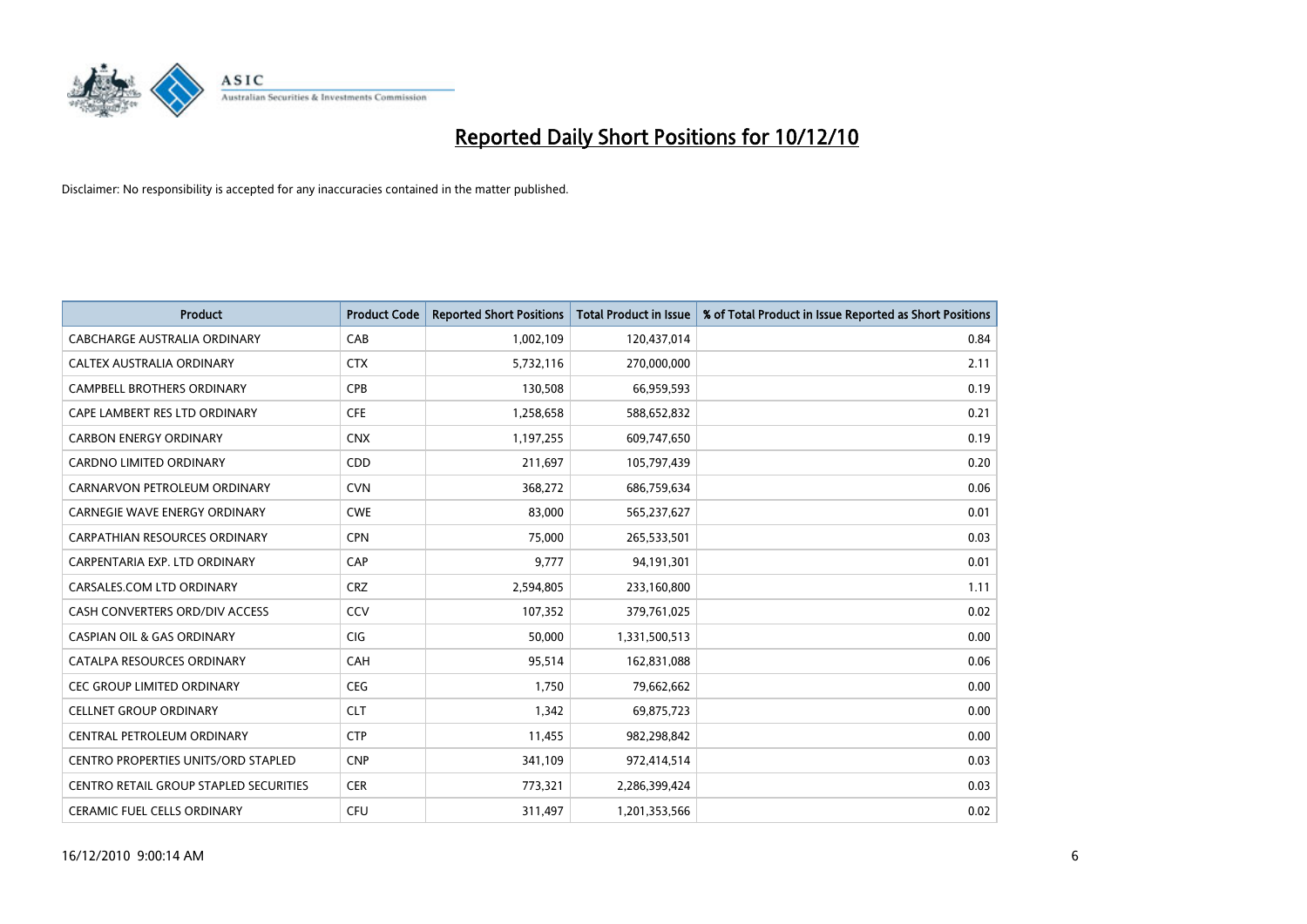

| <b>Product</b>                                | <b>Product Code</b> | <b>Reported Short Positions</b> | Total Product in Issue | % of Total Product in Issue Reported as Short Positions |
|-----------------------------------------------|---------------------|---------------------------------|------------------------|---------------------------------------------------------|
| CABCHARGE AUSTRALIA ORDINARY                  | CAB                 | 1,002,109                       | 120,437,014            | 0.84                                                    |
| CALTEX AUSTRALIA ORDINARY                     | <b>CTX</b>          | 5,732,116                       | 270,000,000            | 2.11                                                    |
| <b>CAMPBELL BROTHERS ORDINARY</b>             | CPB                 | 130,508                         | 66,959,593             | 0.19                                                    |
| CAPE LAMBERT RES LTD ORDINARY                 | <b>CFE</b>          | 1,258,658                       | 588,652,832            | 0.21                                                    |
| <b>CARBON ENERGY ORDINARY</b>                 | <b>CNX</b>          | 1,197,255                       | 609,747,650            | 0.19                                                    |
| <b>CARDNO LIMITED ORDINARY</b>                | CDD                 | 211,697                         | 105,797,439            | 0.20                                                    |
| CARNARVON PETROLEUM ORDINARY                  | <b>CVN</b>          | 368,272                         | 686,759,634            | 0.06                                                    |
| CARNEGIE WAVE ENERGY ORDINARY                 | <b>CWE</b>          | 83,000                          | 565,237,627            | 0.01                                                    |
| CARPATHIAN RESOURCES ORDINARY                 | <b>CPN</b>          | 75,000                          | 265,533,501            | 0.03                                                    |
| CARPENTARIA EXP. LTD ORDINARY                 | CAP                 | 9.777                           | 94,191,301             | 0.01                                                    |
| CARSALES.COM LTD ORDINARY                     | <b>CRZ</b>          | 2,594,805                       | 233,160,800            | 1.11                                                    |
| CASH CONVERTERS ORD/DIV ACCESS                | CCV                 | 107,352                         | 379,761,025            | 0.02                                                    |
| <b>CASPIAN OIL &amp; GAS ORDINARY</b>         | <b>CIG</b>          | 50,000                          | 1,331,500,513          | 0.00                                                    |
| CATALPA RESOURCES ORDINARY                    | CAH                 | 95,514                          | 162,831,088            | 0.06                                                    |
| <b>CEC GROUP LIMITED ORDINARY</b>             | <b>CEG</b>          | 1,750                           | 79,662,662             | 0.00                                                    |
| <b>CELLNET GROUP ORDINARY</b>                 | <b>CLT</b>          | 1,342                           | 69,875,723             | 0.00                                                    |
| CENTRAL PETROLEUM ORDINARY                    | <b>CTP</b>          | 11,455                          | 982,298,842            | 0.00                                                    |
| CENTRO PROPERTIES UNITS/ORD STAPLED           | <b>CNP</b>          | 341,109                         | 972,414,514            | 0.03                                                    |
| <b>CENTRO RETAIL GROUP STAPLED SECURITIES</b> | <b>CER</b>          | 773,321                         | 2,286,399,424          | 0.03                                                    |
| <b>CERAMIC FUEL CELLS ORDINARY</b>            | <b>CFU</b>          | 311,497                         | 1,201,353,566          | 0.02                                                    |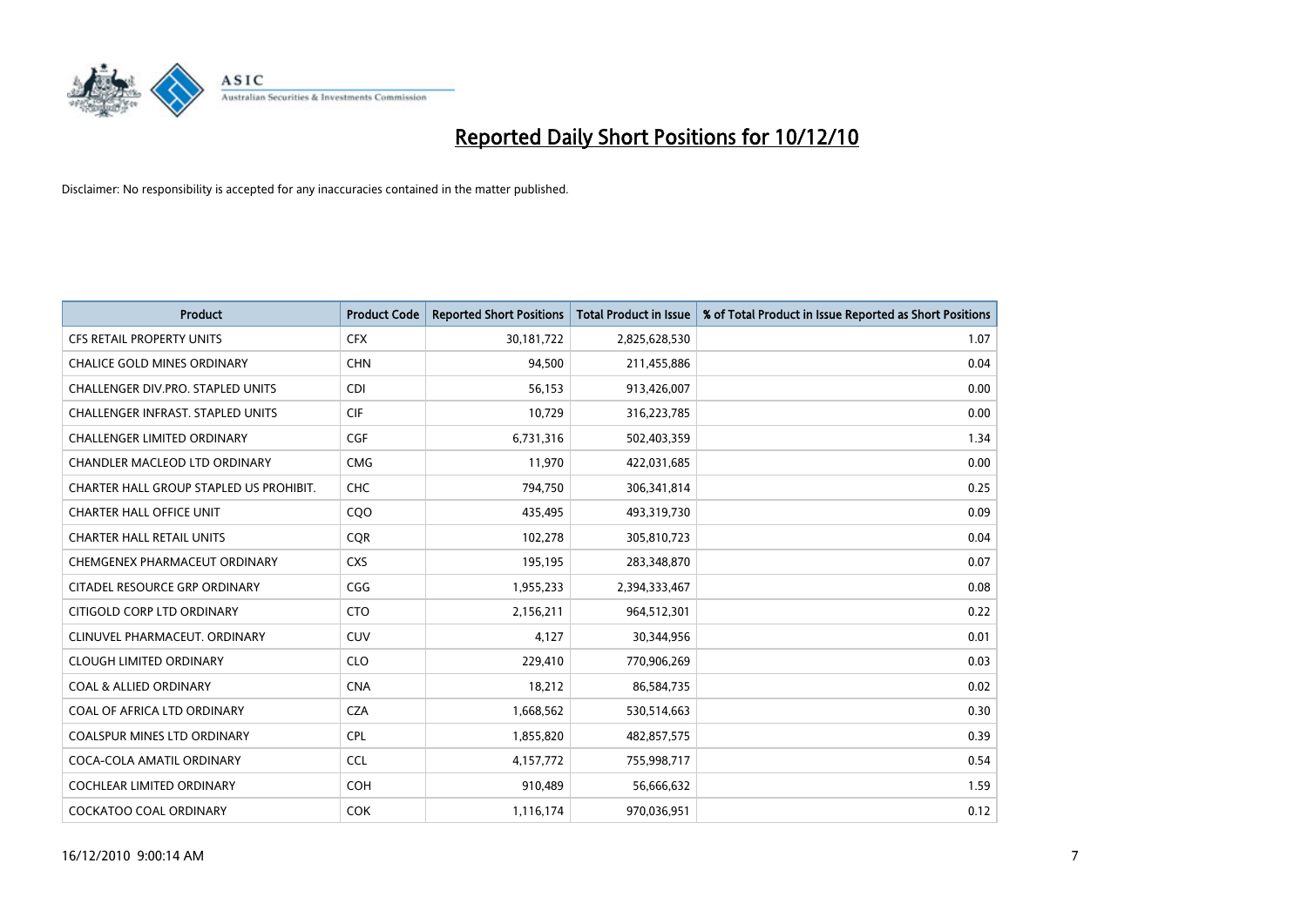

| <b>Product</b>                          | <b>Product Code</b> | <b>Reported Short Positions</b> | Total Product in Issue | % of Total Product in Issue Reported as Short Positions |
|-----------------------------------------|---------------------|---------------------------------|------------------------|---------------------------------------------------------|
| <b>CFS RETAIL PROPERTY UNITS</b>        | <b>CFX</b>          | 30,181,722                      | 2,825,628,530          | 1.07                                                    |
| <b>CHALICE GOLD MINES ORDINARY</b>      | <b>CHN</b>          | 94,500                          | 211,455,886            | 0.04                                                    |
| CHALLENGER DIV.PRO. STAPLED UNITS       | <b>CDI</b>          | 56,153                          | 913,426,007            | 0.00                                                    |
| CHALLENGER INFRAST. STAPLED UNITS       | <b>CIF</b>          | 10,729                          | 316,223,785            | 0.00                                                    |
| <b>CHALLENGER LIMITED ORDINARY</b>      | <b>CGF</b>          | 6,731,316                       | 502,403,359            | 1.34                                                    |
| <b>CHANDLER MACLEOD LTD ORDINARY</b>    | <b>CMG</b>          | 11,970                          | 422,031,685            | 0.00                                                    |
| CHARTER HALL GROUP STAPLED US PROHIBIT. | <b>CHC</b>          | 794,750                         | 306,341,814            | 0.25                                                    |
| <b>CHARTER HALL OFFICE UNIT</b>         | CQ <sub>O</sub>     | 435,495                         | 493,319,730            | 0.09                                                    |
| <b>CHARTER HALL RETAIL UNITS</b>        | <b>CQR</b>          | 102,278                         | 305,810,723            | 0.04                                                    |
| CHEMGENEX PHARMACEUT ORDINARY           | <b>CXS</b>          | 195,195                         | 283,348,870            | 0.07                                                    |
| CITADEL RESOURCE GRP ORDINARY           | CGG                 | 1,955,233                       | 2,394,333,467          | 0.08                                                    |
| CITIGOLD CORP LTD ORDINARY              | <b>CTO</b>          | 2,156,211                       | 964,512,301            | 0.22                                                    |
| CLINUVEL PHARMACEUT, ORDINARY           | <b>CUV</b>          | 4.127                           | 30,344,956             | 0.01                                                    |
| <b>CLOUGH LIMITED ORDINARY</b>          | <b>CLO</b>          | 229,410                         | 770,906,269            | 0.03                                                    |
| <b>COAL &amp; ALLIED ORDINARY</b>       | <b>CNA</b>          | 18,212                          | 86,584,735             | 0.02                                                    |
| COAL OF AFRICA LTD ORDINARY             | <b>CZA</b>          | 1,668,562                       | 530,514,663            | 0.30                                                    |
| <b>COALSPUR MINES LTD ORDINARY</b>      | <b>CPL</b>          | 1,855,820                       | 482,857,575            | 0.39                                                    |
| COCA-COLA AMATIL ORDINARY               | <b>CCL</b>          | 4,157,772                       | 755,998,717            | 0.54                                                    |
| <b>COCHLEAR LIMITED ORDINARY</b>        | COH                 | 910,489                         | 56,666,632             | 1.59                                                    |
| <b>COCKATOO COAL ORDINARY</b>           | <b>COK</b>          | 1,116,174                       | 970,036,951            | 0.12                                                    |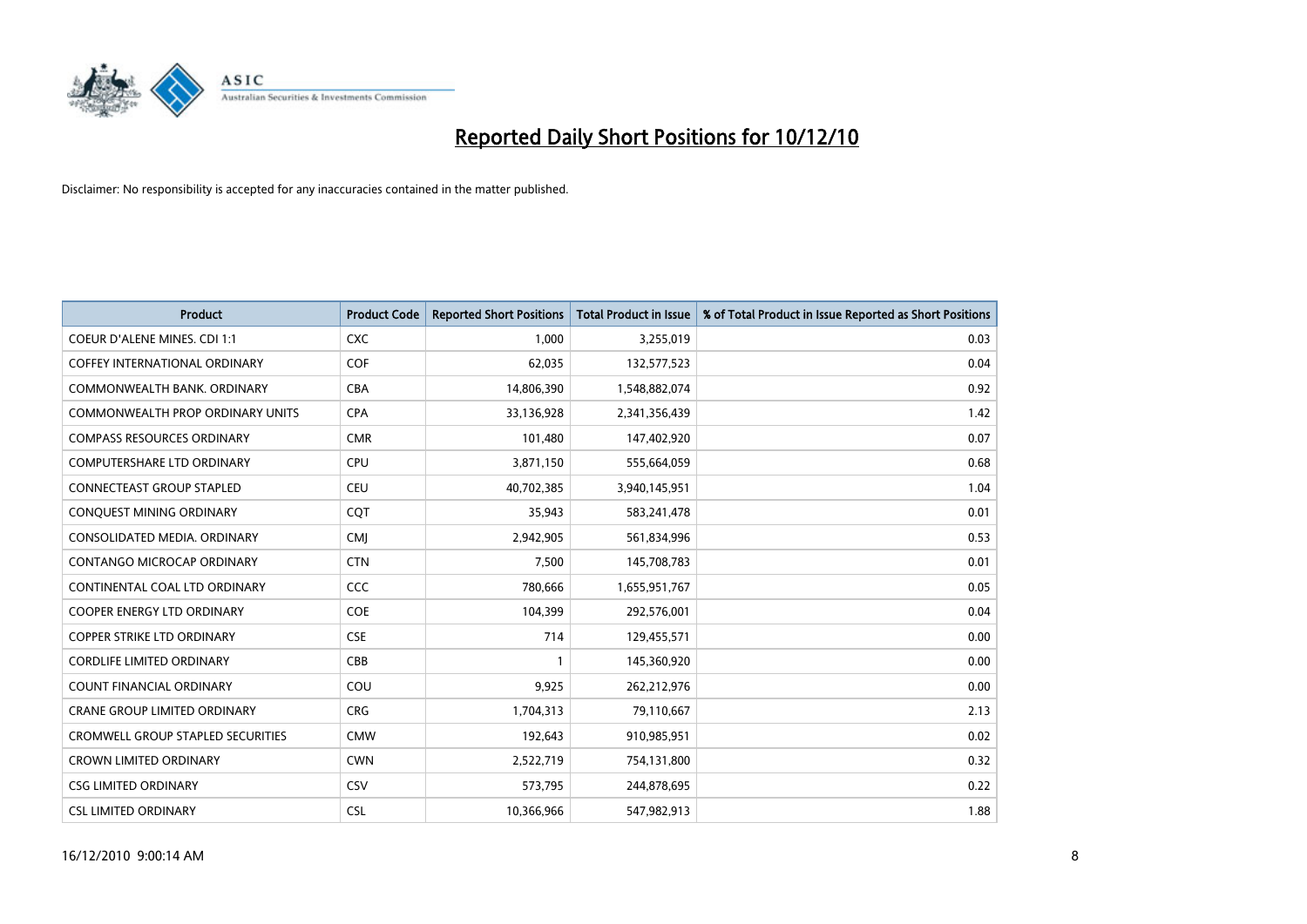

| <b>Product</b>                           | <b>Product Code</b> | <b>Reported Short Positions</b> | Total Product in Issue | % of Total Product in Issue Reported as Short Positions |
|------------------------------------------|---------------------|---------------------------------|------------------------|---------------------------------------------------------|
| <b>COEUR D'ALENE MINES. CDI 1:1</b>      | <b>CXC</b>          | 1,000                           | 3,255,019              | 0.03                                                    |
| COFFEY INTERNATIONAL ORDINARY            | <b>COF</b>          | 62,035                          | 132,577,523            | 0.04                                                    |
| COMMONWEALTH BANK, ORDINARY              | <b>CBA</b>          | 14,806,390                      | 1,548,882,074          | 0.92                                                    |
| COMMONWEALTH PROP ORDINARY UNITS         | <b>CPA</b>          | 33,136,928                      | 2,341,356,439          | 1.42                                                    |
| <b>COMPASS RESOURCES ORDINARY</b>        | <b>CMR</b>          | 101,480                         | 147,402,920            | 0.07                                                    |
| <b>COMPUTERSHARE LTD ORDINARY</b>        | <b>CPU</b>          | 3,871,150                       | 555,664,059            | 0.68                                                    |
| <b>CONNECTEAST GROUP STAPLED</b>         | <b>CEU</b>          | 40,702,385                      | 3,940,145,951          | 1.04                                                    |
| CONQUEST MINING ORDINARY                 | CQT                 | 35,943                          | 583,241,478            | 0.01                                                    |
| CONSOLIDATED MEDIA. ORDINARY             | <b>CMI</b>          | 2,942,905                       | 561,834,996            | 0.53                                                    |
| <b>CONTANGO MICROCAP ORDINARY</b>        | <b>CTN</b>          | 7,500                           | 145,708,783            | 0.01                                                    |
| CONTINENTAL COAL LTD ORDINARY            | <b>CCC</b>          | 780,666                         | 1,655,951,767          | 0.05                                                    |
| <b>COOPER ENERGY LTD ORDINARY</b>        | <b>COE</b>          | 104,399                         | 292,576,001            | 0.04                                                    |
| <b>COPPER STRIKE LTD ORDINARY</b>        | <b>CSE</b>          | 714                             | 129,455,571            | 0.00                                                    |
| <b>CORDLIFE LIMITED ORDINARY</b>         | CBB                 |                                 | 145,360,920            | 0.00                                                    |
| <b>COUNT FINANCIAL ORDINARY</b>          | COU                 | 9,925                           | 262,212,976            | 0.00                                                    |
| CRANE GROUP LIMITED ORDINARY             | <b>CRG</b>          | 1,704,313                       | 79,110,667             | 2.13                                                    |
| <b>CROMWELL GROUP STAPLED SECURITIES</b> | <b>CMW</b>          | 192,643                         | 910,985,951            | 0.02                                                    |
| <b>CROWN LIMITED ORDINARY</b>            | <b>CWN</b>          | 2,522,719                       | 754,131,800            | 0.32                                                    |
| <b>CSG LIMITED ORDINARY</b>              | CSV                 | 573,795                         | 244,878,695            | 0.22                                                    |
| <b>CSL LIMITED ORDINARY</b>              | <b>CSL</b>          | 10,366,966                      | 547,982,913            | 1.88                                                    |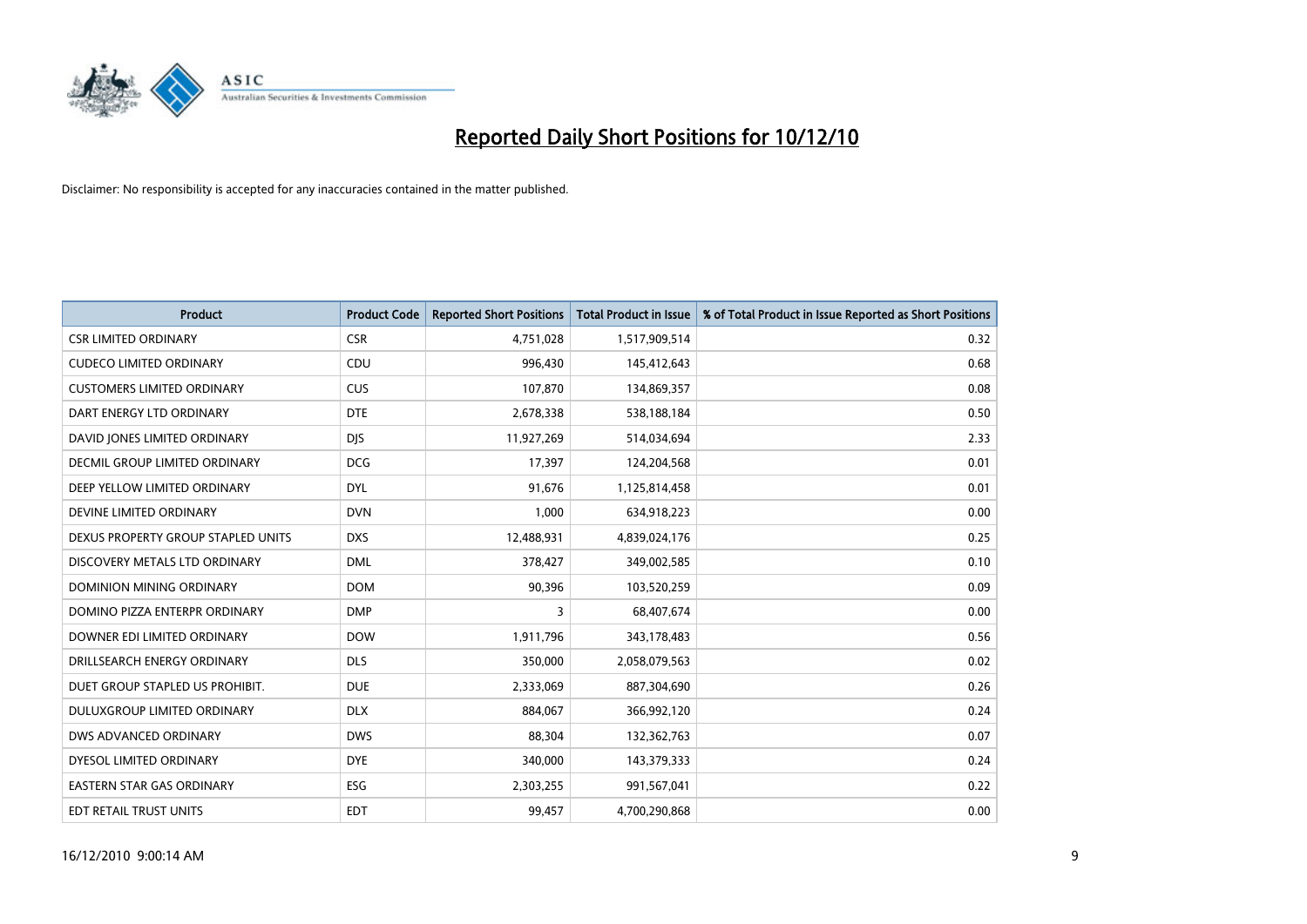

| <b>Product</b>                     | <b>Product Code</b> | <b>Reported Short Positions</b> | Total Product in Issue | % of Total Product in Issue Reported as Short Positions |
|------------------------------------|---------------------|---------------------------------|------------------------|---------------------------------------------------------|
| <b>CSR LIMITED ORDINARY</b>        | <b>CSR</b>          | 4,751,028                       | 1,517,909,514          | 0.32                                                    |
| <b>CUDECO LIMITED ORDINARY</b>     | CDU                 | 996,430                         | 145,412,643            | 0.68                                                    |
| <b>CUSTOMERS LIMITED ORDINARY</b>  | <b>CUS</b>          | 107,870                         | 134,869,357            | 0.08                                                    |
| DART ENERGY LTD ORDINARY           | <b>DTE</b>          | 2,678,338                       | 538,188,184            | 0.50                                                    |
| DAVID JONES LIMITED ORDINARY       | <b>DIS</b>          | 11,927,269                      | 514,034,694            | 2.33                                                    |
| DECMIL GROUP LIMITED ORDINARY      | <b>DCG</b>          | 17,397                          | 124,204,568            | 0.01                                                    |
| DEEP YELLOW LIMITED ORDINARY       | <b>DYL</b>          | 91,676                          | 1,125,814,458          | 0.01                                                    |
| DEVINE LIMITED ORDINARY            | <b>DVN</b>          | 1,000                           | 634,918,223            | 0.00                                                    |
| DEXUS PROPERTY GROUP STAPLED UNITS | <b>DXS</b>          | 12,488,931                      | 4,839,024,176          | 0.25                                                    |
| DISCOVERY METALS LTD ORDINARY      | <b>DML</b>          | 378,427                         | 349,002,585            | 0.10                                                    |
| DOMINION MINING ORDINARY           | <b>DOM</b>          | 90,396                          | 103,520,259            | 0.09                                                    |
| DOMINO PIZZA ENTERPR ORDINARY      | <b>DMP</b>          | 3                               | 68,407,674             | 0.00                                                    |
| DOWNER EDI LIMITED ORDINARY        | <b>DOW</b>          | 1,911,796                       | 343,178,483            | 0.56                                                    |
| DRILLSEARCH ENERGY ORDINARY        | <b>DLS</b>          | 350,000                         | 2,058,079,563          | 0.02                                                    |
| DUET GROUP STAPLED US PROHIBIT.    | <b>DUE</b>          | 2,333,069                       | 887,304,690            | 0.26                                                    |
| DULUXGROUP LIMITED ORDINARY        | <b>DLX</b>          | 884,067                         | 366,992,120            | 0.24                                                    |
| DWS ADVANCED ORDINARY              | <b>DWS</b>          | 88,304                          | 132,362,763            | 0.07                                                    |
| DYESOL LIMITED ORDINARY            | <b>DYE</b>          | 340,000                         | 143,379,333            | 0.24                                                    |
| <b>EASTERN STAR GAS ORDINARY</b>   | ESG                 | 2,303,255                       | 991,567,041            | 0.22                                                    |
| EDT RETAIL TRUST UNITS             | <b>EDT</b>          | 99,457                          | 4,700,290,868          | 0.00                                                    |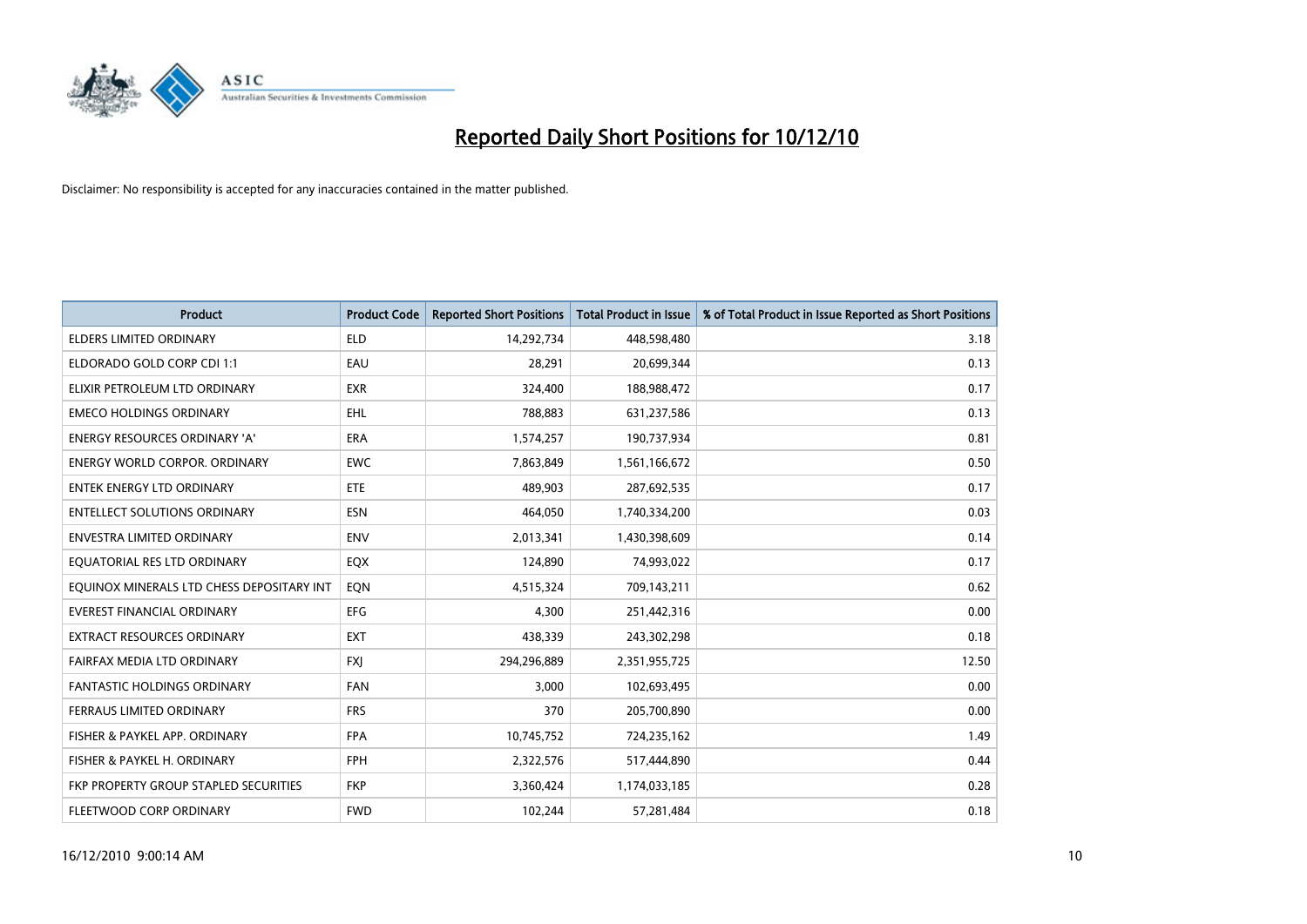

| <b>Product</b>                            | <b>Product Code</b> | <b>Reported Short Positions</b> | Total Product in Issue | % of Total Product in Issue Reported as Short Positions |
|-------------------------------------------|---------------------|---------------------------------|------------------------|---------------------------------------------------------|
| <b>ELDERS LIMITED ORDINARY</b>            | <b>ELD</b>          | 14,292,734                      | 448,598,480            | 3.18                                                    |
| ELDORADO GOLD CORP CDI 1:1                | EAU                 | 28,291                          | 20,699,344             | 0.13                                                    |
| ELIXIR PETROLEUM LTD ORDINARY             | <b>EXR</b>          | 324,400                         | 188,988,472            | 0.17                                                    |
| <b>EMECO HOLDINGS ORDINARY</b>            | <b>EHL</b>          | 788,883                         | 631,237,586            | 0.13                                                    |
| <b>ENERGY RESOURCES ORDINARY 'A'</b>      | ERA                 | 1,574,257                       | 190,737,934            | 0.81                                                    |
| <b>ENERGY WORLD CORPOR, ORDINARY</b>      | <b>EWC</b>          | 7,863,849                       | 1,561,166,672          | 0.50                                                    |
| <b>ENTEK ENERGY LTD ORDINARY</b>          | ETE                 | 489.903                         | 287,692,535            | 0.17                                                    |
| <b>ENTELLECT SOLUTIONS ORDINARY</b>       | <b>ESN</b>          | 464,050                         | 1,740,334,200          | 0.03                                                    |
| ENVESTRA LIMITED ORDINARY                 | <b>ENV</b>          | 2,013,341                       | 1,430,398,609          | 0.14                                                    |
| EOUATORIAL RES LTD ORDINARY               | EQX                 | 124,890                         | 74,993,022             | 0.17                                                    |
| EQUINOX MINERALS LTD CHESS DEPOSITARY INT | EON                 | 4,515,324                       | 709,143,211            | 0.62                                                    |
| <b>EVEREST FINANCIAL ORDINARY</b>         | <b>EFG</b>          | 4,300                           | 251,442,316            | 0.00                                                    |
| <b>EXTRACT RESOURCES ORDINARY</b>         | <b>EXT</b>          | 438,339                         | 243,302,298            | 0.18                                                    |
| FAIRFAX MEDIA LTD ORDINARY                | <b>FXI</b>          | 294,296,889                     | 2,351,955,725          | 12.50                                                   |
| <b>FANTASTIC HOLDINGS ORDINARY</b>        | <b>FAN</b>          | 3,000                           | 102,693,495            | 0.00                                                    |
| FERRAUS LIMITED ORDINARY                  | <b>FRS</b>          | 370                             | 205,700,890            | 0.00                                                    |
| FISHER & PAYKEL APP. ORDINARY             | <b>FPA</b>          | 10,745,752                      | 724,235,162            | 1.49                                                    |
| FISHER & PAYKEL H. ORDINARY               | <b>FPH</b>          | 2,322,576                       | 517,444,890            | 0.44                                                    |
| FKP PROPERTY GROUP STAPLED SECURITIES     | <b>FKP</b>          | 3,360,424                       | 1,174,033,185          | 0.28                                                    |
| <b>FLEETWOOD CORP ORDINARY</b>            | <b>FWD</b>          | 102,244                         | 57,281,484             | 0.18                                                    |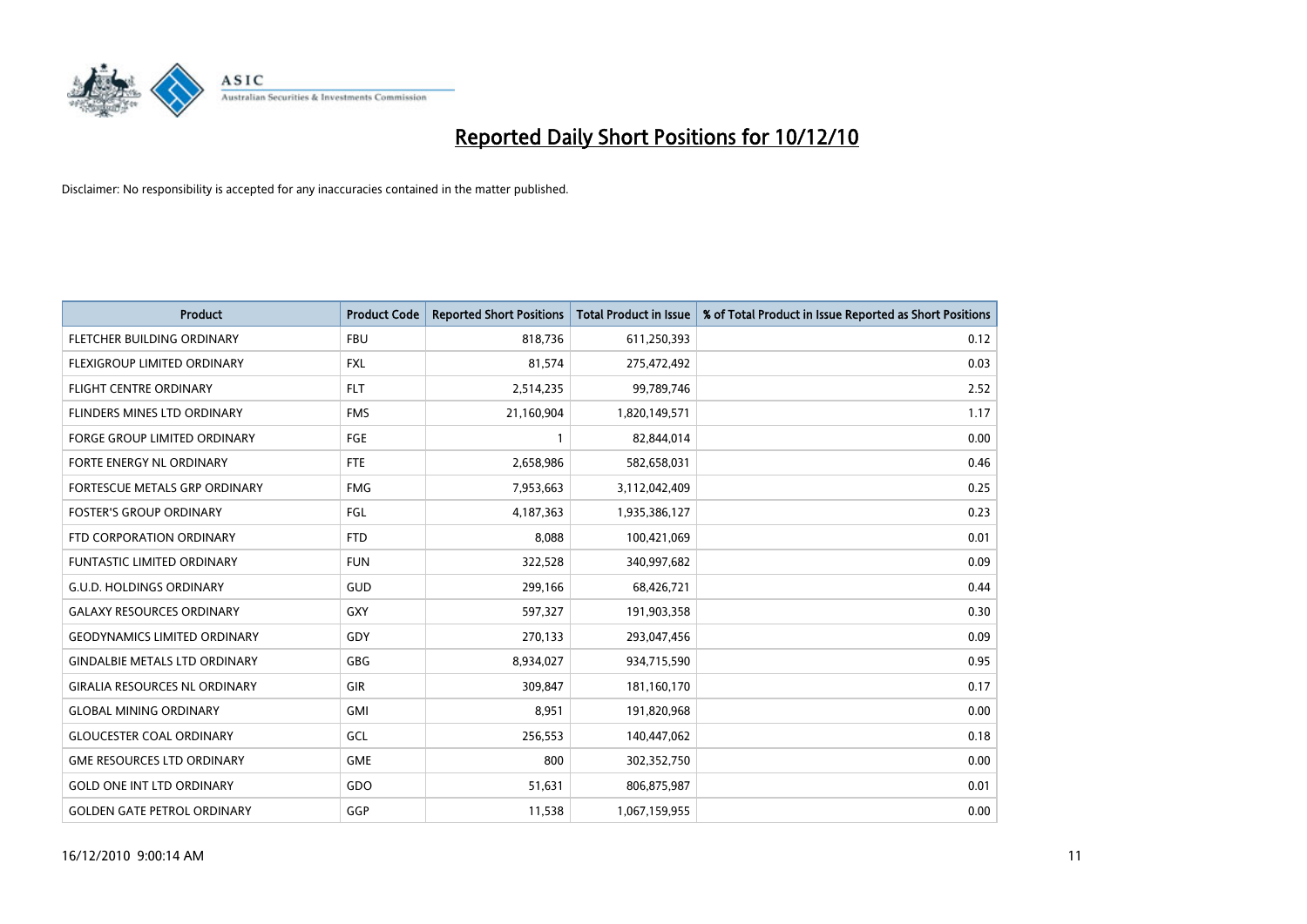

| <b>Product</b>                       | <b>Product Code</b> | <b>Reported Short Positions</b> | <b>Total Product in Issue</b> | % of Total Product in Issue Reported as Short Positions |
|--------------------------------------|---------------------|---------------------------------|-------------------------------|---------------------------------------------------------|
| FLETCHER BUILDING ORDINARY           | <b>FBU</b>          | 818,736                         | 611,250,393                   | 0.12                                                    |
| FLEXIGROUP LIMITED ORDINARY          | <b>FXL</b>          | 81,574                          | 275,472,492                   | 0.03                                                    |
| <b>FLIGHT CENTRE ORDINARY</b>        | <b>FLT</b>          | 2,514,235                       | 99,789,746                    | 2.52                                                    |
| FLINDERS MINES LTD ORDINARY          | <b>FMS</b>          | 21,160,904                      | 1,820,149,571                 | 1.17                                                    |
| <b>FORGE GROUP LIMITED ORDINARY</b>  | <b>FGE</b>          |                                 | 82,844,014                    | 0.00                                                    |
| <b>FORTE ENERGY NL ORDINARY</b>      | <b>FTE</b>          | 2,658,986                       | 582,658,031                   | 0.46                                                    |
| FORTESCUE METALS GRP ORDINARY        | <b>FMG</b>          | 7,953,663                       | 3,112,042,409                 | 0.25                                                    |
| <b>FOSTER'S GROUP ORDINARY</b>       | FGL                 | 4,187,363                       | 1,935,386,127                 | 0.23                                                    |
| FTD CORPORATION ORDINARY             | <b>FTD</b>          | 8,088                           | 100,421,069                   | 0.01                                                    |
| <b>FUNTASTIC LIMITED ORDINARY</b>    | <b>FUN</b>          | 322,528                         | 340,997,682                   | 0.09                                                    |
| <b>G.U.D. HOLDINGS ORDINARY</b>      | <b>GUD</b>          | 299,166                         | 68,426,721                    | 0.44                                                    |
| <b>GALAXY RESOURCES ORDINARY</b>     | <b>GXY</b>          | 597,327                         | 191,903,358                   | 0.30                                                    |
| <b>GEODYNAMICS LIMITED ORDINARY</b>  | GDY                 | 270,133                         | 293,047,456                   | 0.09                                                    |
| <b>GINDALBIE METALS LTD ORDINARY</b> | GBG                 | 8,934,027                       | 934,715,590                   | 0.95                                                    |
| <b>GIRALIA RESOURCES NL ORDINARY</b> | GIR                 | 309,847                         | 181,160,170                   | 0.17                                                    |
| <b>GLOBAL MINING ORDINARY</b>        | <b>GMI</b>          | 8,951                           | 191,820,968                   | 0.00                                                    |
| <b>GLOUCESTER COAL ORDINARY</b>      | GCL                 | 256,553                         | 140,447,062                   | 0.18                                                    |
| <b>GME RESOURCES LTD ORDINARY</b>    | <b>GME</b>          | 800                             | 302,352,750                   | 0.00                                                    |
| <b>GOLD ONE INT LTD ORDINARY</b>     | GDO                 | 51,631                          | 806,875,987                   | 0.01                                                    |
| <b>GOLDEN GATE PETROL ORDINARY</b>   | GGP                 | 11,538                          | 1,067,159,955                 | 0.00                                                    |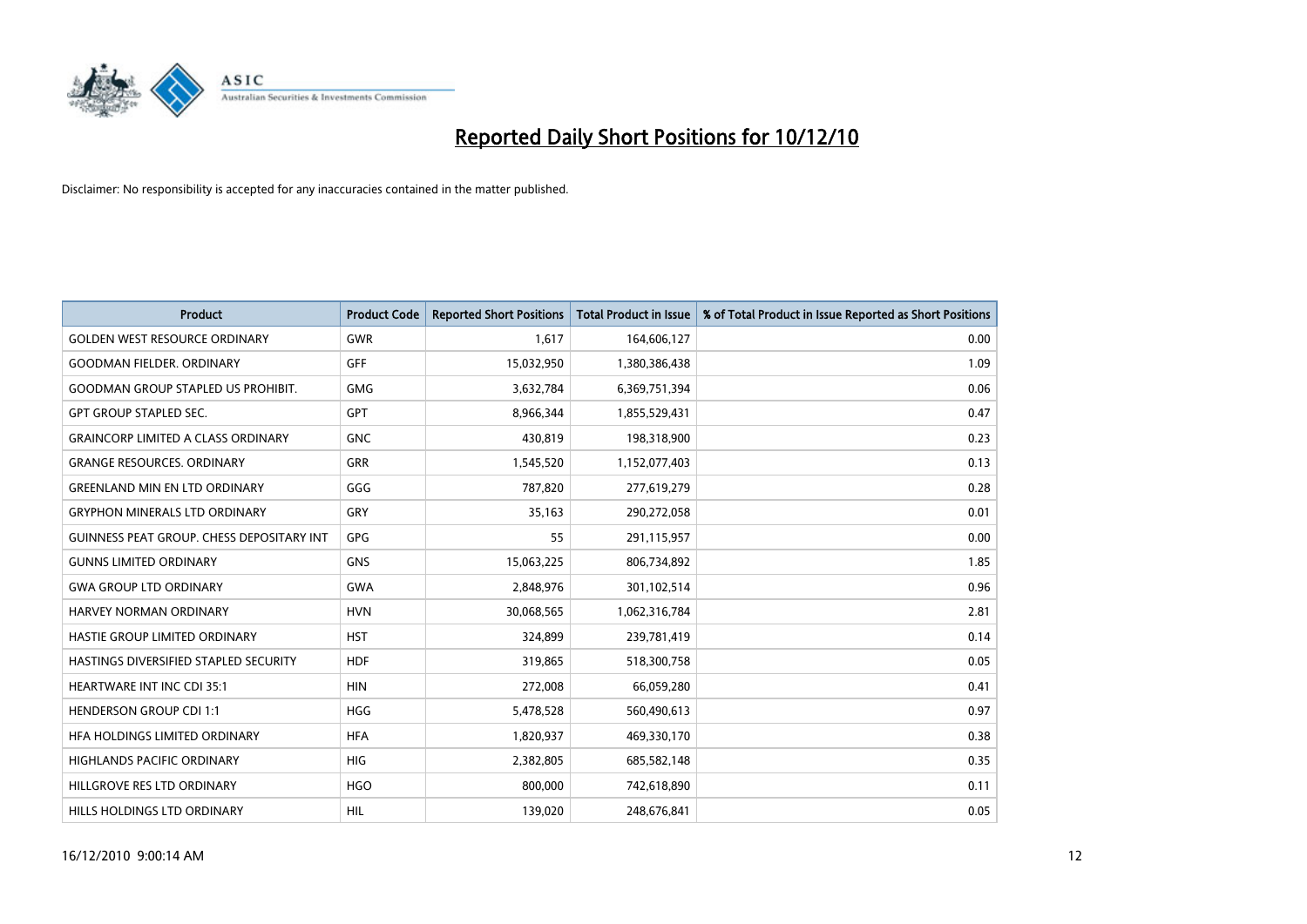

| <b>Product</b>                                   | <b>Product Code</b> | <b>Reported Short Positions</b> | <b>Total Product in Issue</b> | % of Total Product in Issue Reported as Short Positions |
|--------------------------------------------------|---------------------|---------------------------------|-------------------------------|---------------------------------------------------------|
| <b>GOLDEN WEST RESOURCE ORDINARY</b>             | <b>GWR</b>          | 1,617                           | 164,606,127                   | 0.00                                                    |
| <b>GOODMAN FIELDER, ORDINARY</b>                 | <b>GFF</b>          | 15,032,950                      | 1,380,386,438                 | 1.09                                                    |
| <b>GOODMAN GROUP STAPLED US PROHIBIT.</b>        | <b>GMG</b>          | 3,632,784                       | 6,369,751,394                 | 0.06                                                    |
| <b>GPT GROUP STAPLED SEC.</b>                    | <b>GPT</b>          | 8,966,344                       | 1,855,529,431                 | 0.47                                                    |
| <b>GRAINCORP LIMITED A CLASS ORDINARY</b>        | <b>GNC</b>          | 430.819                         | 198,318,900                   | 0.23                                                    |
| <b>GRANGE RESOURCES, ORDINARY</b>                | <b>GRR</b>          | 1,545,520                       | 1,152,077,403                 | 0.13                                                    |
| <b>GREENLAND MIN EN LTD ORDINARY</b>             | GGG                 | 787,820                         | 277,619,279                   | 0.28                                                    |
| <b>GRYPHON MINERALS LTD ORDINARY</b>             | GRY                 | 35,163                          | 290,272,058                   | 0.01                                                    |
| <b>GUINNESS PEAT GROUP. CHESS DEPOSITARY INT</b> | GPG                 | 55                              | 291,115,957                   | 0.00                                                    |
| <b>GUNNS LIMITED ORDINARY</b>                    | <b>GNS</b>          | 15,063,225                      | 806,734,892                   | 1.85                                                    |
| <b>GWA GROUP LTD ORDINARY</b>                    | <b>GWA</b>          | 2,848,976                       | 301,102,514                   | 0.96                                                    |
| <b>HARVEY NORMAN ORDINARY</b>                    | <b>HVN</b>          | 30,068,565                      | 1,062,316,784                 | 2.81                                                    |
| HASTIE GROUP LIMITED ORDINARY                    | <b>HST</b>          | 324,899                         | 239,781,419                   | 0.14                                                    |
| HASTINGS DIVERSIFIED STAPLED SECURITY            | <b>HDF</b>          | 319,865                         | 518,300,758                   | 0.05                                                    |
| <b>HEARTWARE INT INC CDI 35:1</b>                | <b>HIN</b>          | 272,008                         | 66,059,280                    | 0.41                                                    |
| <b>HENDERSON GROUP CDI 1:1</b>                   | <b>HGG</b>          | 5,478,528                       | 560,490,613                   | 0.97                                                    |
| HFA HOLDINGS LIMITED ORDINARY                    | <b>HFA</b>          | 1,820,937                       | 469,330,170                   | 0.38                                                    |
| HIGHLANDS PACIFIC ORDINARY                       | <b>HIG</b>          | 2,382,805                       | 685,582,148                   | 0.35                                                    |
| HILLGROVE RES LTD ORDINARY                       | <b>HGO</b>          | 800,000                         | 742,618,890                   | 0.11                                                    |
| HILLS HOLDINGS LTD ORDINARY                      | <b>HIL</b>          | 139,020                         | 248.676.841                   | 0.05                                                    |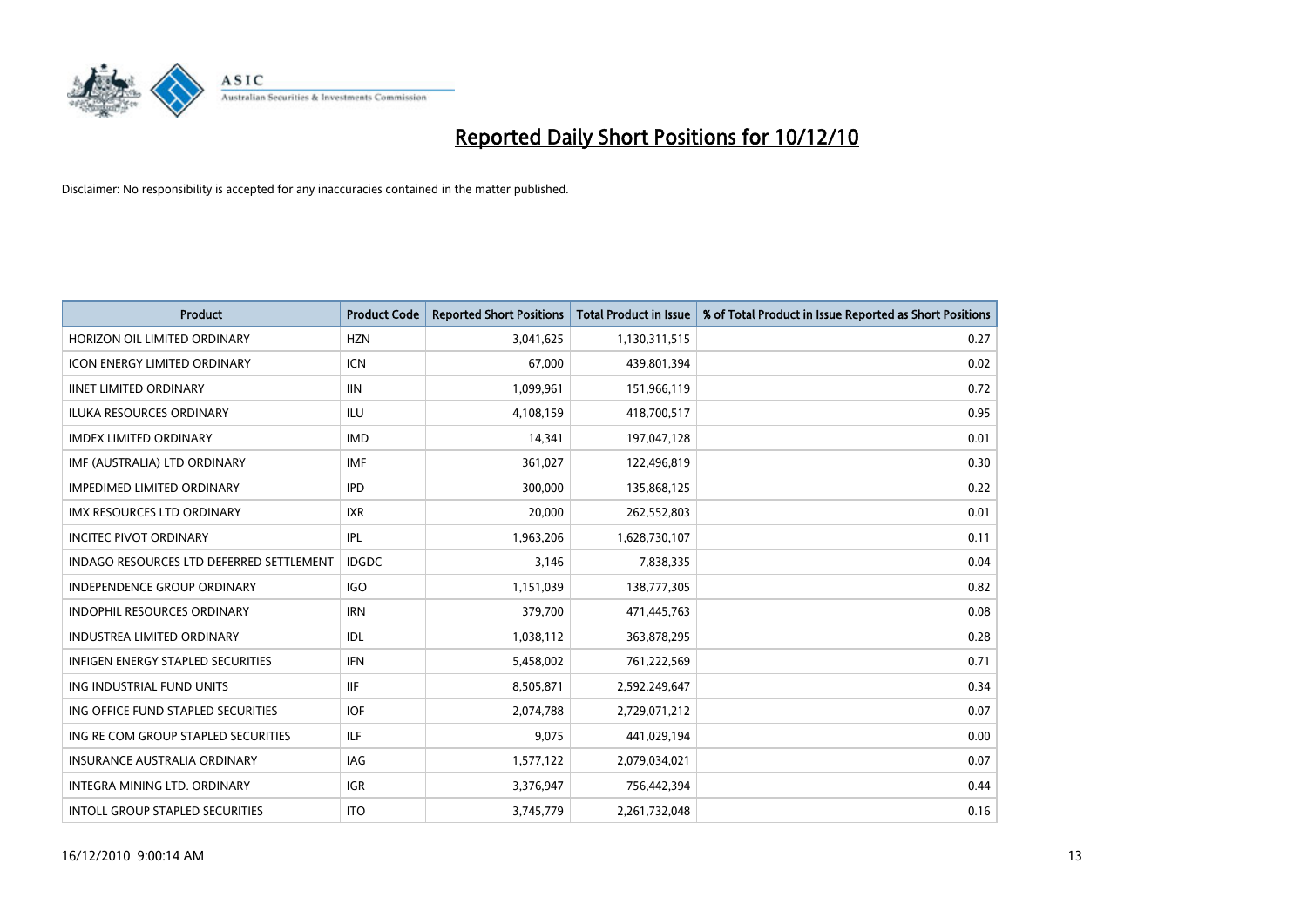

| Product                                  | <b>Product Code</b> | <b>Reported Short Positions</b> | <b>Total Product in Issue</b> | % of Total Product in Issue Reported as Short Positions |
|------------------------------------------|---------------------|---------------------------------|-------------------------------|---------------------------------------------------------|
| HORIZON OIL LIMITED ORDINARY             | <b>HZN</b>          | 3,041,625                       | 1,130,311,515                 | 0.27                                                    |
| ICON ENERGY LIMITED ORDINARY             | <b>ICN</b>          | 67,000                          | 439,801,394                   | 0.02                                                    |
| <b>IINET LIMITED ORDINARY</b>            | <b>IIN</b>          | 1,099,961                       | 151,966,119                   | 0.72                                                    |
| ILUKA RESOURCES ORDINARY                 | ILU                 | 4,108,159                       | 418,700,517                   | 0.95                                                    |
| <b>IMDEX LIMITED ORDINARY</b>            | <b>IMD</b>          | 14,341                          | 197,047,128                   | 0.01                                                    |
| IMF (AUSTRALIA) LTD ORDINARY             | <b>IMF</b>          | 361,027                         | 122,496,819                   | 0.30                                                    |
| <b>IMPEDIMED LIMITED ORDINARY</b>        | <b>IPD</b>          | 300,000                         | 135,868,125                   | 0.22                                                    |
| IMX RESOURCES LTD ORDINARY               | <b>IXR</b>          | 20,000                          | 262,552,803                   | 0.01                                                    |
| <b>INCITEC PIVOT ORDINARY</b>            | <b>IPL</b>          | 1,963,206                       | 1,628,730,107                 | 0.11                                                    |
| INDAGO RESOURCES LTD DEFERRED SETTLEMENT | <b>IDGDC</b>        | 3,146                           | 7,838,335                     | 0.04                                                    |
| <b>INDEPENDENCE GROUP ORDINARY</b>       | <b>IGO</b>          | 1,151,039                       | 138,777,305                   | 0.82                                                    |
| <b>INDOPHIL RESOURCES ORDINARY</b>       | <b>IRN</b>          | 379,700                         | 471,445,763                   | 0.08                                                    |
| <b>INDUSTREA LIMITED ORDINARY</b>        | IDL                 | 1,038,112                       | 363,878,295                   | 0.28                                                    |
| <b>INFIGEN ENERGY STAPLED SECURITIES</b> | <b>IFN</b>          | 5,458,002                       | 761,222,569                   | 0.71                                                    |
| ING INDUSTRIAL FUND UNITS                | <b>IIF</b>          | 8,505,871                       | 2,592,249,647                 | 0.34                                                    |
| ING OFFICE FUND STAPLED SECURITIES       | <b>IOF</b>          | 2,074,788                       | 2,729,071,212                 | 0.07                                                    |
| ING RE COM GROUP STAPLED SECURITIES      | <b>ILF</b>          | 9,075                           | 441,029,194                   | 0.00                                                    |
| INSURANCE AUSTRALIA ORDINARY             | IAG                 | 1,577,122                       | 2,079,034,021                 | 0.07                                                    |
| INTEGRA MINING LTD, ORDINARY             | <b>IGR</b>          | 3,376,947                       | 756,442,394                   | 0.44                                                    |
| INTOLL GROUP STAPLED SECURITIES          | <b>ITO</b>          | 3,745,779                       | 2,261,732,048                 | 0.16                                                    |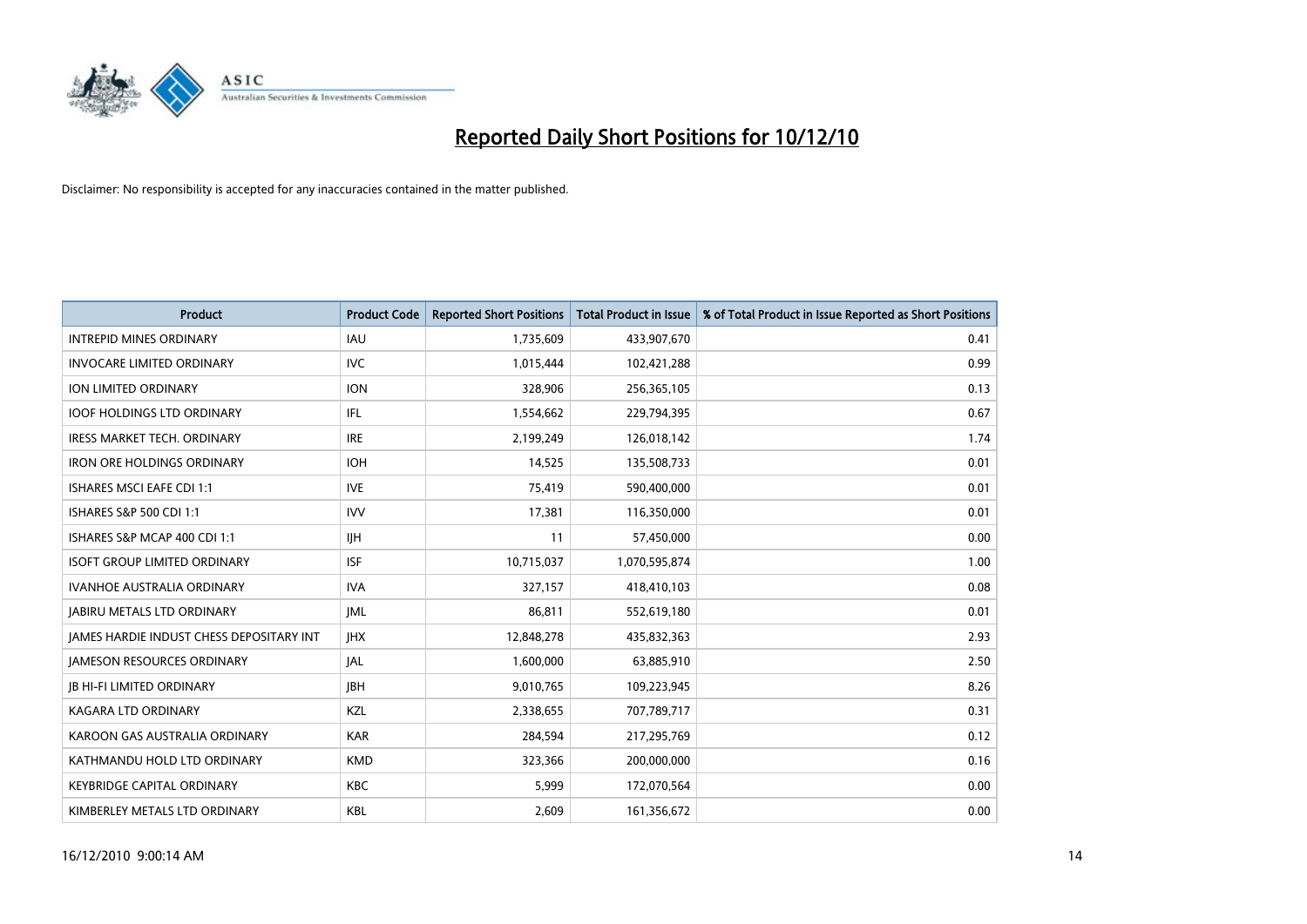

| Product                                         | <b>Product Code</b> | <b>Reported Short Positions</b> | Total Product in Issue | % of Total Product in Issue Reported as Short Positions |
|-------------------------------------------------|---------------------|---------------------------------|------------------------|---------------------------------------------------------|
| <b>INTREPID MINES ORDINARY</b>                  | <b>IAU</b>          | 1,735,609                       | 433,907,670            | 0.41                                                    |
| <b>INVOCARE LIMITED ORDINARY</b>                | <b>IVC</b>          | 1,015,444                       | 102,421,288            | 0.99                                                    |
| ION LIMITED ORDINARY                            | <b>ION</b>          | 328,906                         | 256,365,105            | 0.13                                                    |
| <b>IOOF HOLDINGS LTD ORDINARY</b>               | IFL                 | 1,554,662                       | 229,794,395            | 0.67                                                    |
| <b>IRESS MARKET TECH. ORDINARY</b>              | <b>IRE</b>          | 2,199,249                       | 126,018,142            | 1.74                                                    |
| <b>IRON ORE HOLDINGS ORDINARY</b>               | <b>IOH</b>          | 14,525                          | 135,508,733            | 0.01                                                    |
| <b>ISHARES MSCI EAFE CDI 1:1</b>                | <b>IVE</b>          | 75,419                          | 590,400,000            | 0.01                                                    |
| ISHARES S&P 500 CDI 1:1                         | <b>IVV</b>          | 17,381                          | 116,350,000            | 0.01                                                    |
| ISHARES S&P MCAP 400 CDI 1:1                    | <b>IIH</b>          | 11                              | 57,450,000             | 0.00                                                    |
| <b>ISOFT GROUP LIMITED ORDINARY</b>             | <b>ISF</b>          | 10,715,037                      | 1,070,595,874          | 1.00                                                    |
| IVANHOE AUSTRALIA ORDINARY                      | <b>IVA</b>          | 327,157                         | 418,410,103            | 0.08                                                    |
| <b>JABIRU METALS LTD ORDINARY</b>               | <b>JML</b>          | 86,811                          | 552,619,180            | 0.01                                                    |
| <b>IAMES HARDIE INDUST CHESS DEPOSITARY INT</b> | <b>IHX</b>          | 12,848,278                      | 435,832,363            | 2.93                                                    |
| <b>JAMESON RESOURCES ORDINARY</b>               | JAL                 | 1,600,000                       | 63,885,910             | 2.50                                                    |
| <b>JB HI-FI LIMITED ORDINARY</b>                | <b>IBH</b>          | 9,010,765                       | 109,223,945            | 8.26                                                    |
| KAGARA LTD ORDINARY                             | KZL                 | 2,338,655                       | 707,789,717            | 0.31                                                    |
| KAROON GAS AUSTRALIA ORDINARY                   | <b>KAR</b>          | 284,594                         | 217,295,769            | 0.12                                                    |
| KATHMANDU HOLD LTD ORDINARY                     | <b>KMD</b>          | 323,366                         | 200,000,000            | 0.16                                                    |
| <b>KEYBRIDGE CAPITAL ORDINARY</b>               | <b>KBC</b>          | 5,999                           | 172,070,564            | 0.00                                                    |
| KIMBERLEY METALS LTD ORDINARY                   | KBL                 | 2,609                           | 161,356,672            | 0.00                                                    |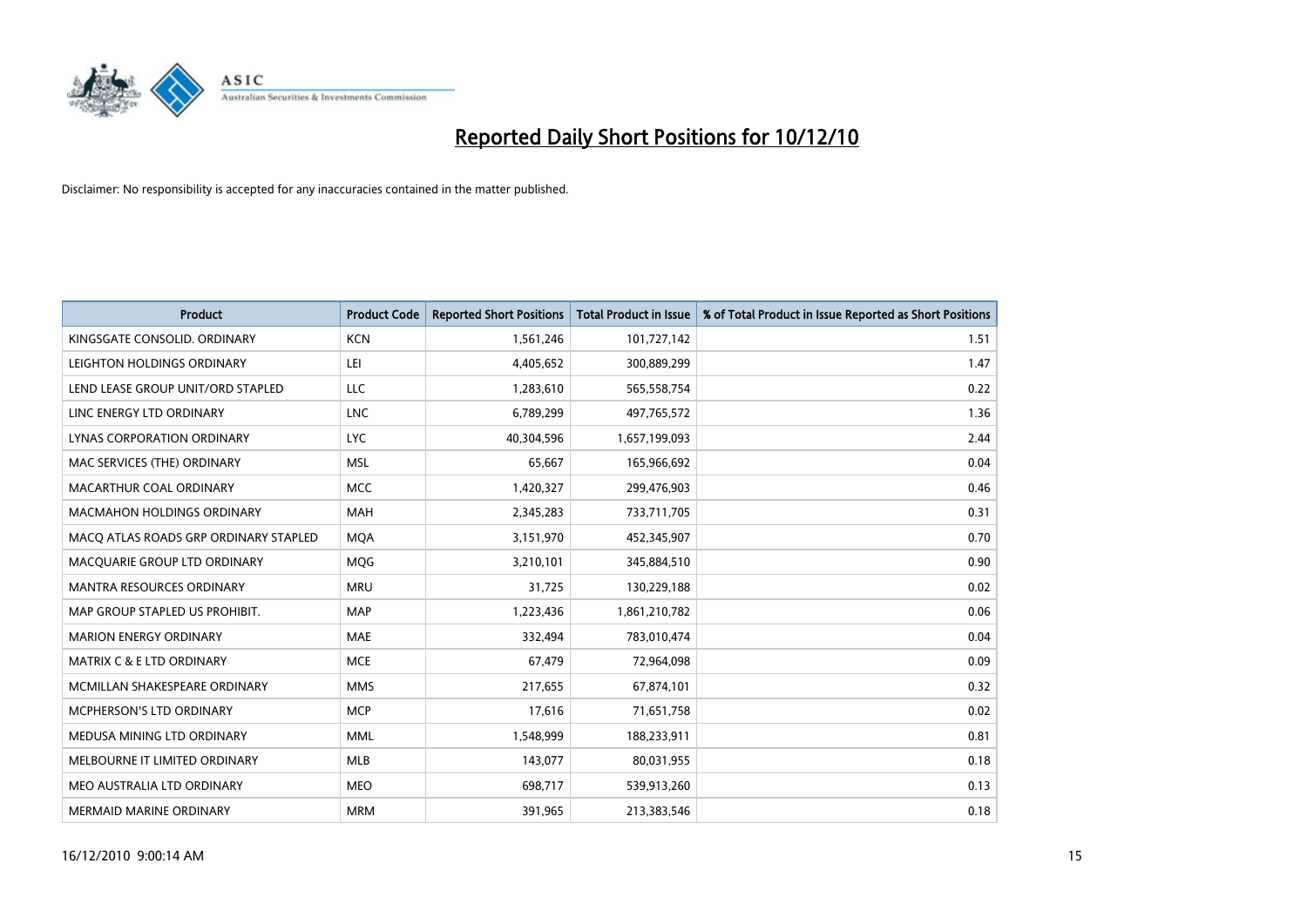

| <b>Product</b>                        | <b>Product Code</b> | <b>Reported Short Positions</b> | <b>Total Product in Issue</b> | % of Total Product in Issue Reported as Short Positions |
|---------------------------------------|---------------------|---------------------------------|-------------------------------|---------------------------------------------------------|
| KINGSGATE CONSOLID. ORDINARY          | <b>KCN</b>          | 1,561,246                       | 101,727,142                   | 1.51                                                    |
| LEIGHTON HOLDINGS ORDINARY            | LEI                 | 4,405,652                       | 300,889,299                   | 1.47                                                    |
| LEND LEASE GROUP UNIT/ORD STAPLED     | <b>LLC</b>          | 1,283,610                       | 565,558,754                   | 0.22                                                    |
| LINC ENERGY LTD ORDINARY              | <b>LNC</b>          | 6,789,299                       | 497,765,572                   | 1.36                                                    |
| LYNAS CORPORATION ORDINARY            | <b>LYC</b>          | 40,304,596                      | 1,657,199,093                 | 2.44                                                    |
| MAC SERVICES (THE) ORDINARY           | <b>MSL</b>          | 65,667                          | 165,966,692                   | 0.04                                                    |
| MACARTHUR COAL ORDINARY               | <b>MCC</b>          | 1,420,327                       | 299,476,903                   | 0.46                                                    |
| <b>MACMAHON HOLDINGS ORDINARY</b>     | <b>MAH</b>          | 2,345,283                       | 733,711,705                   | 0.31                                                    |
| MACQ ATLAS ROADS GRP ORDINARY STAPLED | <b>MOA</b>          | 3,151,970                       | 452,345,907                   | 0.70                                                    |
| MACOUARIE GROUP LTD ORDINARY          | <b>MOG</b>          | 3,210,101                       | 345,884,510                   | 0.90                                                    |
| <b>MANTRA RESOURCES ORDINARY</b>      | <b>MRU</b>          | 31,725                          | 130,229,188                   | 0.02                                                    |
| MAP GROUP STAPLED US PROHIBIT.        | <b>MAP</b>          | 1,223,436                       | 1,861,210,782                 | 0.06                                                    |
| <b>MARION ENERGY ORDINARY</b>         | <b>MAE</b>          | 332,494                         | 783,010,474                   | 0.04                                                    |
| <b>MATRIX C &amp; E LTD ORDINARY</b>  | <b>MCE</b>          | 67,479                          | 72,964,098                    | 0.09                                                    |
| MCMILLAN SHAKESPEARE ORDINARY         | <b>MMS</b>          | 217,655                         | 67,874,101                    | 0.32                                                    |
| <b>MCPHERSON'S LTD ORDINARY</b>       | <b>MCP</b>          | 17,616                          | 71,651,758                    | 0.02                                                    |
| MEDUSA MINING LTD ORDINARY            | <b>MML</b>          | 1,548,999                       | 188,233,911                   | 0.81                                                    |
| MELBOURNE IT LIMITED ORDINARY         | <b>MLB</b>          | 143,077                         | 80,031,955                    | 0.18                                                    |
| MEO AUSTRALIA LTD ORDINARY            | <b>MEO</b>          | 698,717                         | 539,913,260                   | 0.13                                                    |
| <b>MERMAID MARINE ORDINARY</b>        | <b>MRM</b>          | 391,965                         | 213,383,546                   | 0.18                                                    |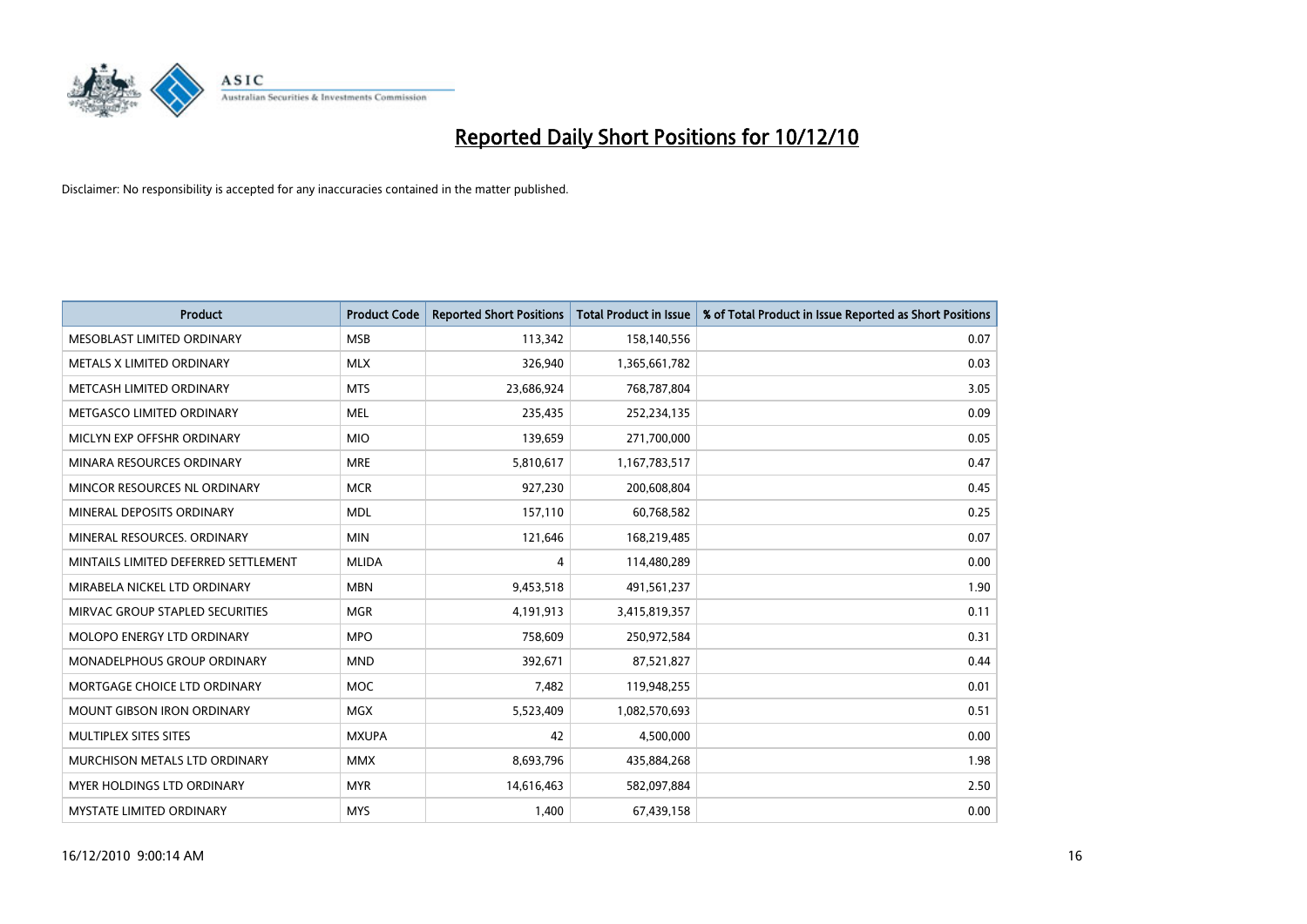

| Product                              | <b>Product Code</b> | <b>Reported Short Positions</b> | <b>Total Product in Issue</b> | % of Total Product in Issue Reported as Short Positions |
|--------------------------------------|---------------------|---------------------------------|-------------------------------|---------------------------------------------------------|
| MESOBLAST LIMITED ORDINARY           | <b>MSB</b>          | 113,342                         | 158,140,556                   | 0.07                                                    |
| METALS X LIMITED ORDINARY            | <b>MLX</b>          | 326,940                         | 1,365,661,782                 | 0.03                                                    |
| METCASH LIMITED ORDINARY             | <b>MTS</b>          | 23,686,924                      | 768,787,804                   | 3.05                                                    |
| METGASCO LIMITED ORDINARY            | <b>MEL</b>          | 235,435                         | 252,234,135                   | 0.09                                                    |
| MICLYN EXP OFFSHR ORDINARY           | <b>MIO</b>          | 139,659                         | 271,700,000                   | 0.05                                                    |
| MINARA RESOURCES ORDINARY            | <b>MRE</b>          | 5,810,617                       | 1,167,783,517                 | 0.47                                                    |
| MINCOR RESOURCES NL ORDINARY         | <b>MCR</b>          | 927,230                         | 200,608,804                   | 0.45                                                    |
| MINERAL DEPOSITS ORDINARY            | <b>MDL</b>          | 157,110                         | 60,768,582                    | 0.25                                                    |
| MINERAL RESOURCES, ORDINARY          | <b>MIN</b>          | 121,646                         | 168,219,485                   | 0.07                                                    |
| MINTAILS LIMITED DEFERRED SETTLEMENT | <b>MLIDA</b>        | 4                               | 114,480,289                   | 0.00                                                    |
| MIRABELA NICKEL LTD ORDINARY         | <b>MBN</b>          | 9,453,518                       | 491,561,237                   | 1.90                                                    |
| MIRVAC GROUP STAPLED SECURITIES      | <b>MGR</b>          | 4,191,913                       | 3,415,819,357                 | 0.11                                                    |
| <b>MOLOPO ENERGY LTD ORDINARY</b>    | <b>MPO</b>          | 758,609                         | 250,972,584                   | 0.31                                                    |
| MONADELPHOUS GROUP ORDINARY          | <b>MND</b>          | 392,671                         | 87,521,827                    | 0.44                                                    |
| MORTGAGE CHOICE LTD ORDINARY         | <b>MOC</b>          | 7,482                           | 119,948,255                   | 0.01                                                    |
| MOUNT GIBSON IRON ORDINARY           | <b>MGX</b>          | 5,523,409                       | 1,082,570,693                 | 0.51                                                    |
| MULTIPLEX SITES SITES                | <b>MXUPA</b>        | 42                              | 4,500,000                     | 0.00                                                    |
| MURCHISON METALS LTD ORDINARY        | <b>MMX</b>          | 8,693,796                       | 435,884,268                   | 1.98                                                    |
| MYER HOLDINGS LTD ORDINARY           | <b>MYR</b>          | 14,616,463                      | 582,097,884                   | 2.50                                                    |
| MYSTATE LIMITED ORDINARY             | <b>MYS</b>          | 1,400                           | 67,439,158                    | 0.00                                                    |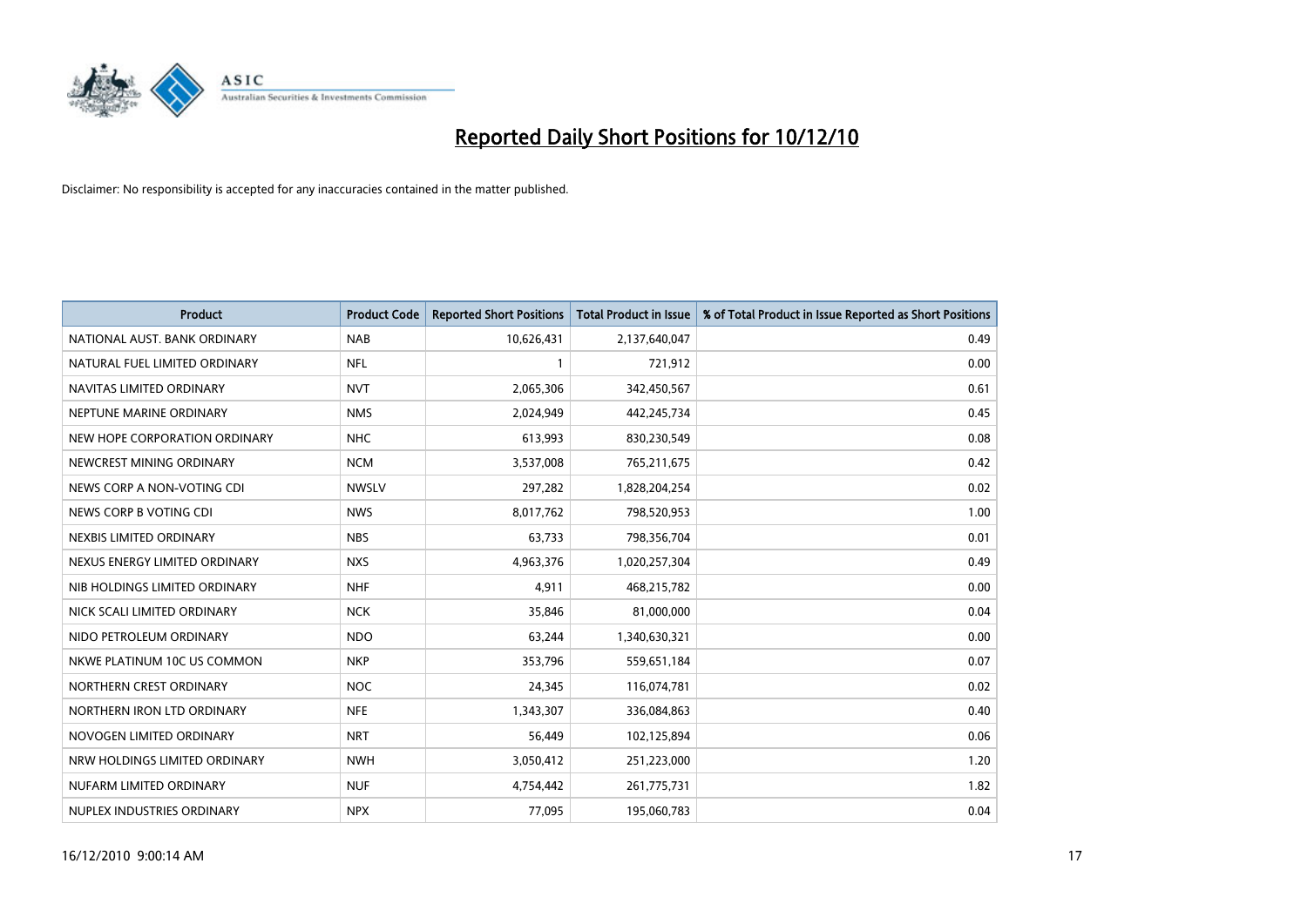

| <b>Product</b>                | <b>Product Code</b> | <b>Reported Short Positions</b> | <b>Total Product in Issue</b> | % of Total Product in Issue Reported as Short Positions |
|-------------------------------|---------------------|---------------------------------|-------------------------------|---------------------------------------------------------|
| NATIONAL AUST. BANK ORDINARY  | <b>NAB</b>          | 10,626,431                      | 2,137,640,047                 | 0.49                                                    |
| NATURAL FUEL LIMITED ORDINARY | <b>NFL</b>          |                                 | 721,912                       | 0.00                                                    |
| NAVITAS LIMITED ORDINARY      | <b>NVT</b>          | 2,065,306                       | 342,450,567                   | 0.61                                                    |
| NEPTUNE MARINE ORDINARY       | <b>NMS</b>          | 2,024,949                       | 442,245,734                   | 0.45                                                    |
| NEW HOPE CORPORATION ORDINARY | <b>NHC</b>          | 613,993                         | 830,230,549                   | 0.08                                                    |
| NEWCREST MINING ORDINARY      | <b>NCM</b>          | 3,537,008                       | 765,211,675                   | 0.42                                                    |
| NEWS CORP A NON-VOTING CDI    | <b>NWSLV</b>        | 297,282                         | 1,828,204,254                 | 0.02                                                    |
| NEWS CORP B VOTING CDI        | <b>NWS</b>          | 8,017,762                       | 798,520,953                   | 1.00                                                    |
| NEXBIS LIMITED ORDINARY       | <b>NBS</b>          | 63,733                          | 798,356,704                   | 0.01                                                    |
| NEXUS ENERGY LIMITED ORDINARY | <b>NXS</b>          | 4,963,376                       | 1,020,257,304                 | 0.49                                                    |
| NIB HOLDINGS LIMITED ORDINARY | <b>NHF</b>          | 4,911                           | 468,215,782                   | 0.00                                                    |
| NICK SCALI LIMITED ORDINARY   | <b>NCK</b>          | 35,846                          | 81,000,000                    | 0.04                                                    |
| NIDO PETROLEUM ORDINARY       | <b>NDO</b>          | 63,244                          | 1,340,630,321                 | 0.00                                                    |
| NKWE PLATINUM 10C US COMMON   | <b>NKP</b>          | 353,796                         | 559,651,184                   | 0.07                                                    |
| NORTHERN CREST ORDINARY       | <b>NOC</b>          | 24,345                          | 116,074,781                   | 0.02                                                    |
| NORTHERN IRON LTD ORDINARY    | <b>NFE</b>          | 1,343,307                       | 336,084,863                   | 0.40                                                    |
| NOVOGEN LIMITED ORDINARY      | <b>NRT</b>          | 56,449                          | 102,125,894                   | 0.06                                                    |
| NRW HOLDINGS LIMITED ORDINARY | <b>NWH</b>          | 3,050,412                       | 251,223,000                   | 1.20                                                    |
| NUFARM LIMITED ORDINARY       | <b>NUF</b>          | 4,754,442                       | 261,775,731                   | 1.82                                                    |
| NUPLEX INDUSTRIES ORDINARY    | <b>NPX</b>          | 77,095                          | 195,060,783                   | 0.04                                                    |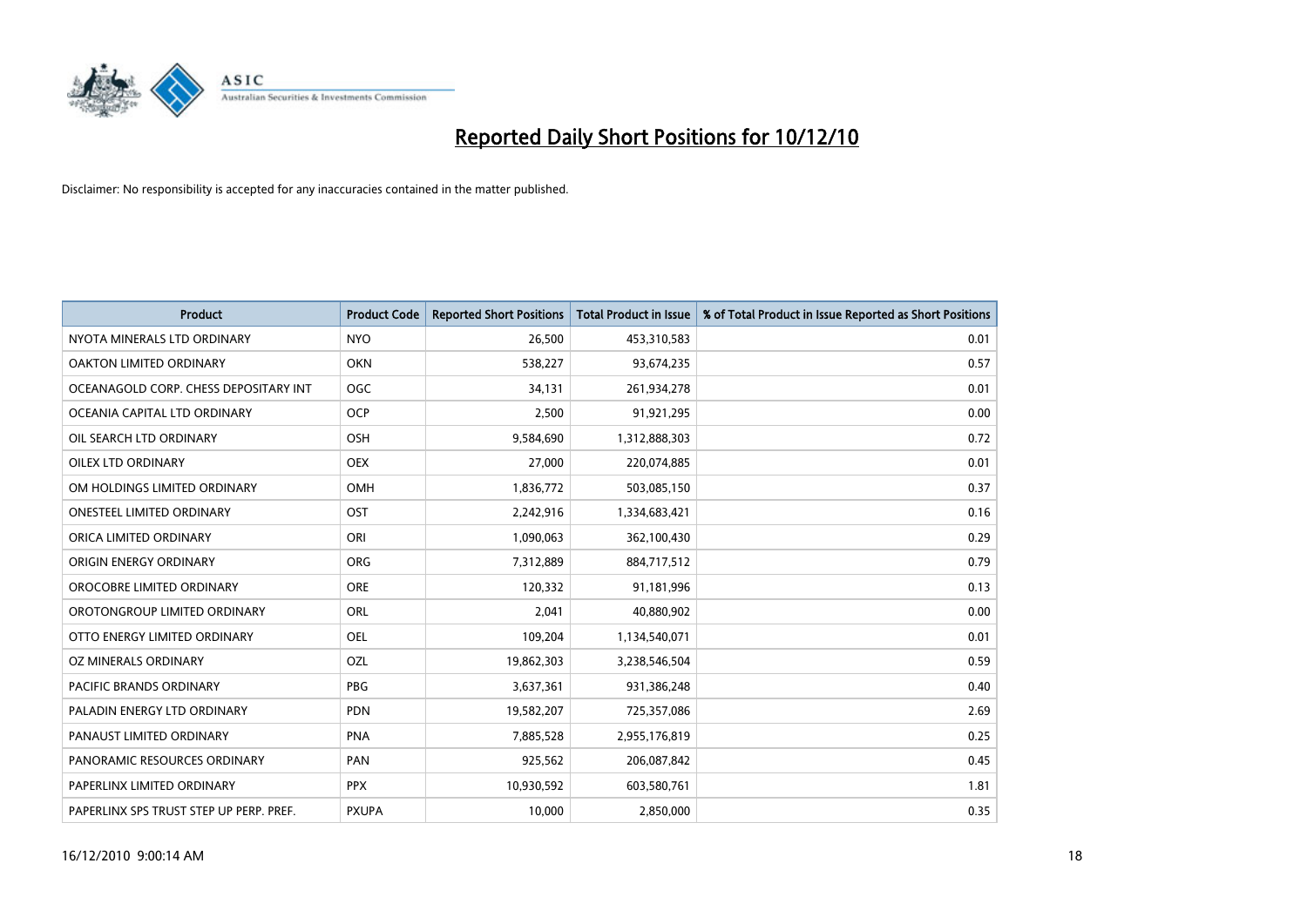

| <b>Product</b>                          | <b>Product Code</b> | <b>Reported Short Positions</b> | <b>Total Product in Issue</b> | % of Total Product in Issue Reported as Short Positions |
|-----------------------------------------|---------------------|---------------------------------|-------------------------------|---------------------------------------------------------|
| NYOTA MINERALS LTD ORDINARY             | <b>NYO</b>          | 26,500                          | 453,310,583                   | 0.01                                                    |
| OAKTON LIMITED ORDINARY                 | <b>OKN</b>          | 538,227                         | 93,674,235                    | 0.57                                                    |
| OCEANAGOLD CORP. CHESS DEPOSITARY INT   | <b>OGC</b>          | 34,131                          | 261,934,278                   | 0.01                                                    |
| OCEANIA CAPITAL LTD ORDINARY            | <b>OCP</b>          | 2,500                           | 91,921,295                    | 0.00                                                    |
| OIL SEARCH LTD ORDINARY                 | OSH                 | 9,584,690                       | 1,312,888,303                 | 0.72                                                    |
| OILEX LTD ORDINARY                      | <b>OEX</b>          | 27,000                          | 220,074,885                   | 0.01                                                    |
| OM HOLDINGS LIMITED ORDINARY            | OMH                 | 1,836,772                       | 503,085,150                   | 0.37                                                    |
| <b>ONESTEEL LIMITED ORDINARY</b>        | <b>OST</b>          | 2,242,916                       | 1,334,683,421                 | 0.16                                                    |
| ORICA LIMITED ORDINARY                  | ORI                 | 1,090,063                       | 362,100,430                   | 0.29                                                    |
| ORIGIN ENERGY ORDINARY                  | <b>ORG</b>          | 7,312,889                       | 884,717,512                   | 0.79                                                    |
| OROCOBRE LIMITED ORDINARY               | <b>ORE</b>          | 120,332                         | 91,181,996                    | 0.13                                                    |
| OROTONGROUP LIMITED ORDINARY            | ORL                 | 2,041                           | 40,880,902                    | 0.00                                                    |
| OTTO ENERGY LIMITED ORDINARY            | <b>OEL</b>          | 109,204                         | 1,134,540,071                 | 0.01                                                    |
| OZ MINERALS ORDINARY                    | OZL                 | 19,862,303                      | 3,238,546,504                 | 0.59                                                    |
| <b>PACIFIC BRANDS ORDINARY</b>          | <b>PBG</b>          | 3,637,361                       | 931,386,248                   | 0.40                                                    |
| PALADIN ENERGY LTD ORDINARY             | <b>PDN</b>          | 19,582,207                      | 725,357,086                   | 2.69                                                    |
| PANAUST LIMITED ORDINARY                | <b>PNA</b>          | 7,885,528                       | 2,955,176,819                 | 0.25                                                    |
| PANORAMIC RESOURCES ORDINARY            | PAN                 | 925,562                         | 206,087,842                   | 0.45                                                    |
| PAPERLINX LIMITED ORDINARY              | <b>PPX</b>          | 10,930,592                      | 603,580,761                   | 1.81                                                    |
| PAPERLINX SPS TRUST STEP UP PERP. PREF. | <b>PXUPA</b>        | 10,000                          | 2,850,000                     | 0.35                                                    |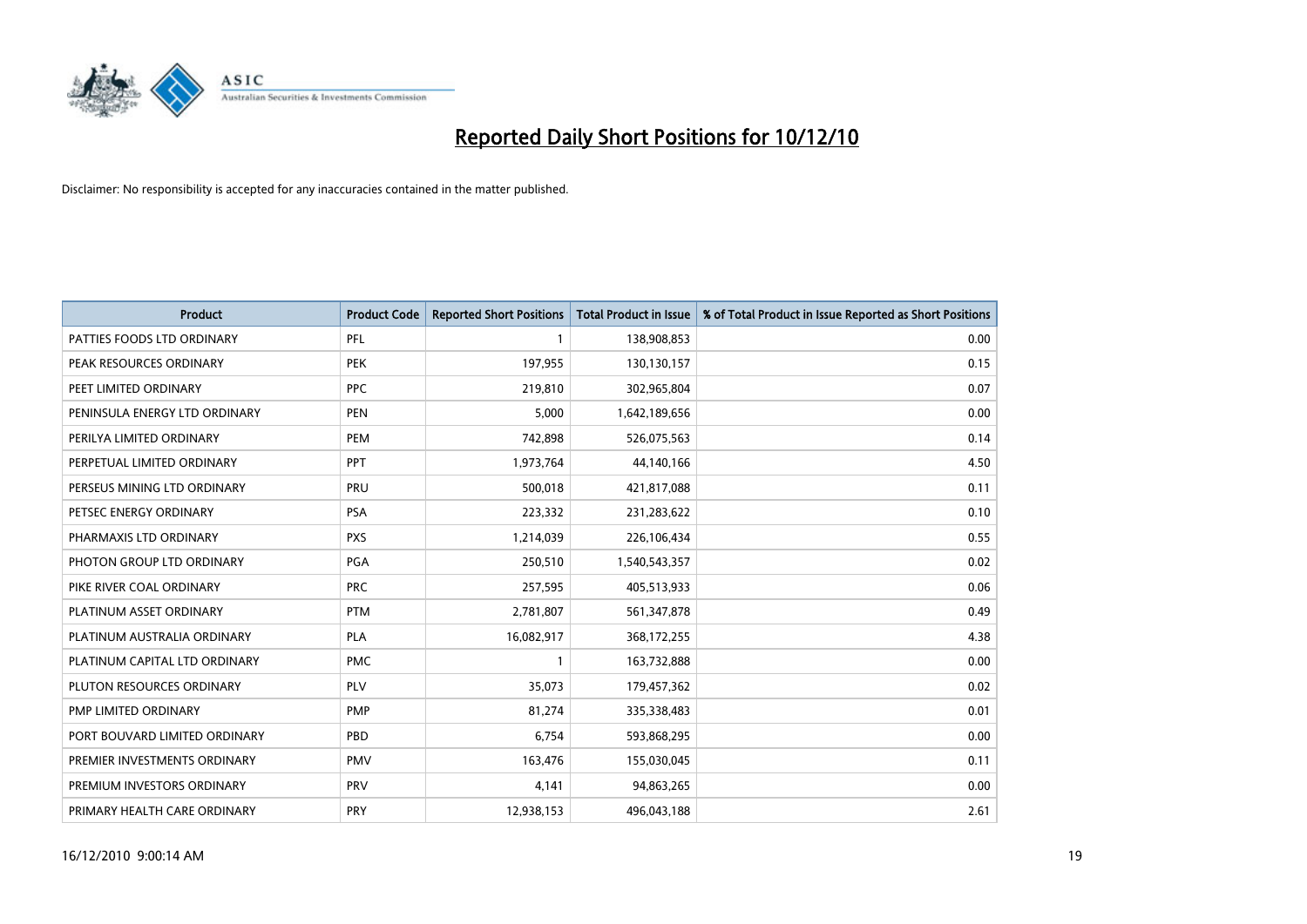

| Product                       | <b>Product Code</b> | <b>Reported Short Positions</b> | <b>Total Product in Issue</b> | % of Total Product in Issue Reported as Short Positions |
|-------------------------------|---------------------|---------------------------------|-------------------------------|---------------------------------------------------------|
| PATTIES FOODS LTD ORDINARY    | PFL                 |                                 | 138,908,853                   | 0.00                                                    |
| PEAK RESOURCES ORDINARY       | <b>PEK</b>          | 197,955                         | 130,130,157                   | 0.15                                                    |
| PEET LIMITED ORDINARY         | <b>PPC</b>          | 219,810                         | 302,965,804                   | 0.07                                                    |
| PENINSULA ENERGY LTD ORDINARY | <b>PEN</b>          | 5,000                           | 1,642,189,656                 | 0.00                                                    |
| PERILYA LIMITED ORDINARY      | PEM                 | 742,898                         | 526,075,563                   | 0.14                                                    |
| PERPETUAL LIMITED ORDINARY    | PPT                 | 1,973,764                       | 44,140,166                    | 4.50                                                    |
| PERSEUS MINING LTD ORDINARY   | PRU                 | 500,018                         | 421,817,088                   | 0.11                                                    |
| PETSEC ENERGY ORDINARY        | <b>PSA</b>          | 223,332                         | 231,283,622                   | 0.10                                                    |
| PHARMAXIS LTD ORDINARY        | <b>PXS</b>          | 1,214,039                       | 226,106,434                   | 0.55                                                    |
| PHOTON GROUP LTD ORDINARY     | PGA                 | 250,510                         | 1,540,543,357                 | 0.02                                                    |
| PIKE RIVER COAL ORDINARY      | <b>PRC</b>          | 257,595                         | 405,513,933                   | 0.06                                                    |
| PLATINUM ASSET ORDINARY       | <b>PTM</b>          | 2,781,807                       | 561,347,878                   | 0.49                                                    |
| PLATINUM AUSTRALIA ORDINARY   | <b>PLA</b>          | 16,082,917                      | 368,172,255                   | 4.38                                                    |
| PLATINUM CAPITAL LTD ORDINARY | <b>PMC</b>          |                                 | 163,732,888                   | 0.00                                                    |
| PLUTON RESOURCES ORDINARY     | PLV                 | 35,073                          | 179,457,362                   | 0.02                                                    |
| PMP LIMITED ORDINARY          | <b>PMP</b>          | 81,274                          | 335,338,483                   | 0.01                                                    |
| PORT BOUVARD LIMITED ORDINARY | PBD                 | 6,754                           | 593,868,295                   | 0.00                                                    |
| PREMIER INVESTMENTS ORDINARY  | <b>PMV</b>          | 163,476                         | 155,030,045                   | 0.11                                                    |
| PREMIUM INVESTORS ORDINARY    | <b>PRV</b>          | 4,141                           | 94,863,265                    | 0.00                                                    |
| PRIMARY HEALTH CARE ORDINARY  | PRY                 | 12,938,153                      | 496,043,188                   | 2.61                                                    |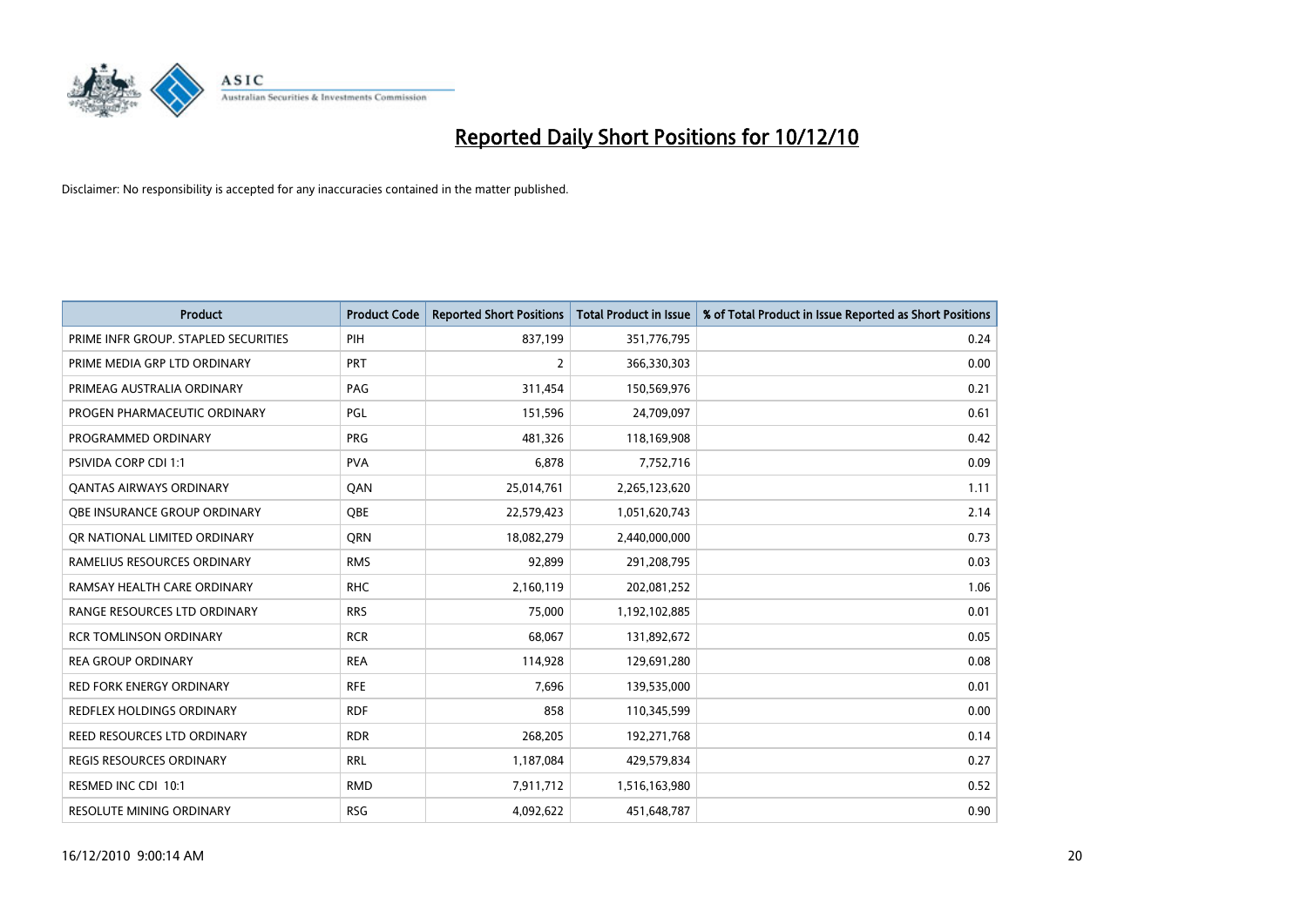

| Product                              | <b>Product Code</b> | <b>Reported Short Positions</b> | <b>Total Product in Issue</b> | % of Total Product in Issue Reported as Short Positions |
|--------------------------------------|---------------------|---------------------------------|-------------------------------|---------------------------------------------------------|
| PRIME INFR GROUP. STAPLED SECURITIES | PIH                 | 837,199                         | 351,776,795                   | 0.24                                                    |
| PRIME MEDIA GRP LTD ORDINARY         | <b>PRT</b>          | 2                               | 366,330,303                   | 0.00                                                    |
| PRIMEAG AUSTRALIA ORDINARY           | PAG                 | 311,454                         | 150,569,976                   | 0.21                                                    |
| PROGEN PHARMACEUTIC ORDINARY         | <b>PGL</b>          | 151,596                         | 24,709,097                    | 0.61                                                    |
| PROGRAMMED ORDINARY                  | <b>PRG</b>          | 481,326                         | 118,169,908                   | 0.42                                                    |
| PSIVIDA CORP CDI 1:1                 | <b>PVA</b>          | 6,878                           | 7,752,716                     | 0.09                                                    |
| <b>QANTAS AIRWAYS ORDINARY</b>       | <b>QAN</b>          | 25,014,761                      | 2,265,123,620                 | 1.11                                                    |
| OBE INSURANCE GROUP ORDINARY         | <b>OBE</b>          | 22,579,423                      | 1,051,620,743                 | 2.14                                                    |
| OR NATIONAL LIMITED ORDINARY         | <b>ORN</b>          | 18,082,279                      | 2,440,000,000                 | 0.73                                                    |
| RAMELIUS RESOURCES ORDINARY          | <b>RMS</b>          | 92,899                          | 291,208,795                   | 0.03                                                    |
| RAMSAY HEALTH CARE ORDINARY          | <b>RHC</b>          | 2,160,119                       | 202,081,252                   | 1.06                                                    |
| RANGE RESOURCES LTD ORDINARY         | <b>RRS</b>          | 75,000                          | 1,192,102,885                 | 0.01                                                    |
| <b>RCR TOMLINSON ORDINARY</b>        | <b>RCR</b>          | 68,067                          | 131,892,672                   | 0.05                                                    |
| <b>REA GROUP ORDINARY</b>            | <b>REA</b>          | 114,928                         | 129,691,280                   | 0.08                                                    |
| <b>RED FORK ENERGY ORDINARY</b>      | <b>RFE</b>          | 7.696                           | 139,535,000                   | 0.01                                                    |
| <b>REDFLEX HOLDINGS ORDINARY</b>     | <b>RDF</b>          | 858                             | 110,345,599                   | 0.00                                                    |
| REED RESOURCES LTD ORDINARY          | <b>RDR</b>          | 268,205                         | 192,271,768                   | 0.14                                                    |
| REGIS RESOURCES ORDINARY             | <b>RRL</b>          | 1,187,084                       | 429,579,834                   | 0.27                                                    |
| RESMED INC CDI 10:1                  | <b>RMD</b>          | 7,911,712                       | 1,516,163,980                 | 0.52                                                    |
| RESOLUTE MINING ORDINARY             | <b>RSG</b>          | 4,092,622                       | 451,648,787                   | 0.90                                                    |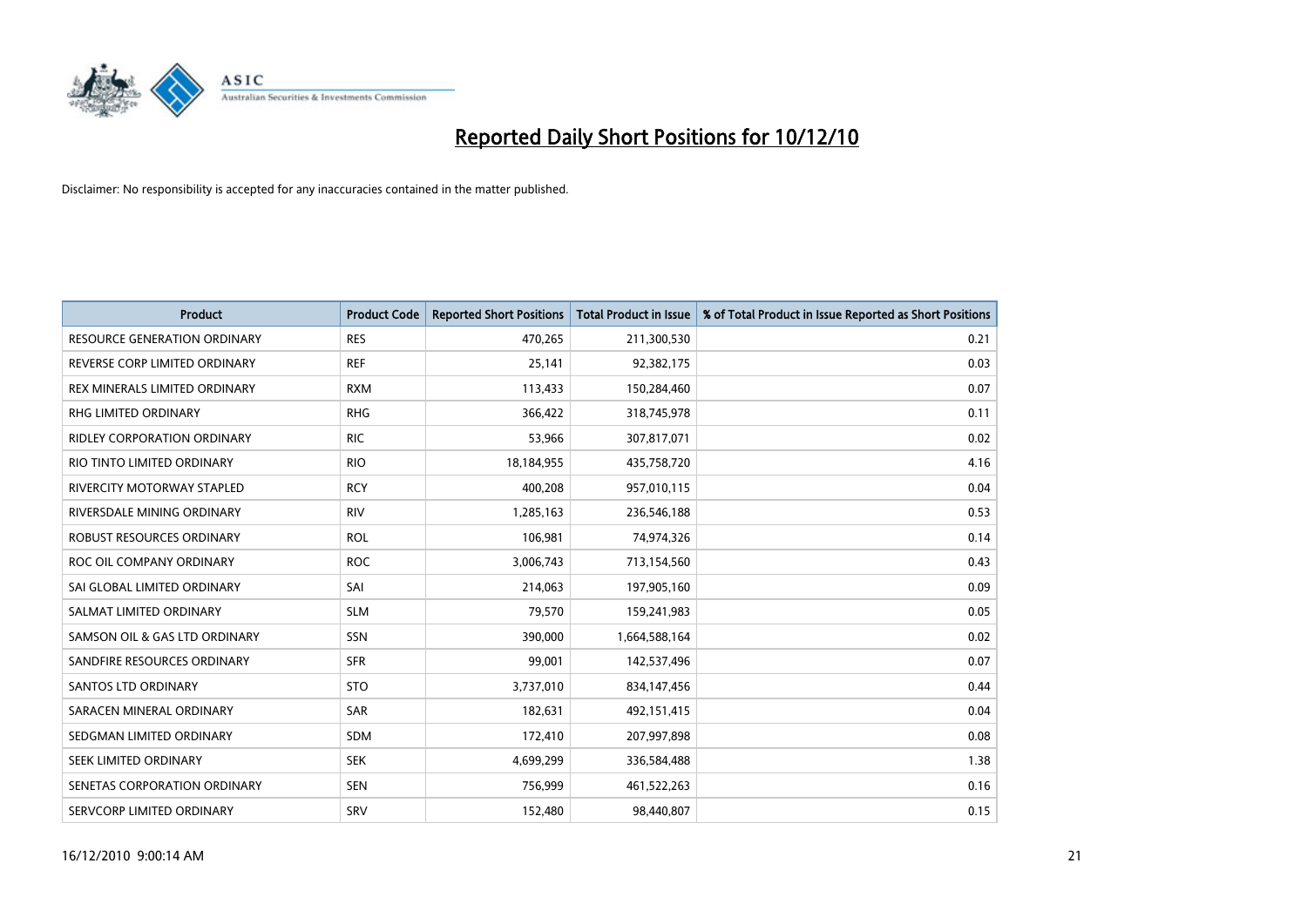

| <b>Product</b>                      | <b>Product Code</b> | <b>Reported Short Positions</b> | Total Product in Issue | % of Total Product in Issue Reported as Short Positions |
|-------------------------------------|---------------------|---------------------------------|------------------------|---------------------------------------------------------|
| <b>RESOURCE GENERATION ORDINARY</b> | <b>RES</b>          | 470,265                         | 211,300,530            | 0.21                                                    |
| REVERSE CORP LIMITED ORDINARY       | <b>REF</b>          | 25,141                          | 92,382,175             | 0.03                                                    |
| REX MINERALS LIMITED ORDINARY       | <b>RXM</b>          | 113,433                         | 150,284,460            | 0.07                                                    |
| RHG LIMITED ORDINARY                | <b>RHG</b>          | 366,422                         | 318,745,978            | 0.11                                                    |
| <b>RIDLEY CORPORATION ORDINARY</b>  | <b>RIC</b>          | 53,966                          | 307,817,071            | 0.02                                                    |
| RIO TINTO LIMITED ORDINARY          | <b>RIO</b>          | 18,184,955                      | 435,758,720            | 4.16                                                    |
| <b>RIVERCITY MOTORWAY STAPLED</b>   | <b>RCY</b>          | 400.208                         | 957,010,115            | 0.04                                                    |
| RIVERSDALE MINING ORDINARY          | <b>RIV</b>          | 1,285,163                       | 236,546,188            | 0.53                                                    |
| ROBUST RESOURCES ORDINARY           | <b>ROL</b>          | 106,981                         | 74,974,326             | 0.14                                                    |
| ROC OIL COMPANY ORDINARY            | <b>ROC</b>          | 3,006,743                       | 713,154,560            | 0.43                                                    |
| SAI GLOBAL LIMITED ORDINARY         | SAI                 | 214,063                         | 197,905,160            | 0.09                                                    |
| SALMAT LIMITED ORDINARY             | <b>SLM</b>          | 79,570                          | 159,241,983            | 0.05                                                    |
| SAMSON OIL & GAS LTD ORDINARY       | <b>SSN</b>          | 390,000                         | 1,664,588,164          | 0.02                                                    |
| SANDFIRE RESOURCES ORDINARY         | <b>SFR</b>          | 99,001                          | 142,537,496            | 0.07                                                    |
| <b>SANTOS LTD ORDINARY</b>          | <b>STO</b>          | 3,737,010                       | 834,147,456            | 0.44                                                    |
| SARACEN MINERAL ORDINARY            | SAR                 | 182,631                         | 492,151,415            | 0.04                                                    |
| SEDGMAN LIMITED ORDINARY            | <b>SDM</b>          | 172,410                         | 207,997,898            | 0.08                                                    |
| SEEK LIMITED ORDINARY               | <b>SEK</b>          | 4,699,299                       | 336,584,488            | 1.38                                                    |
| SENETAS CORPORATION ORDINARY        | <b>SEN</b>          | 756,999                         | 461,522,263            | 0.16                                                    |
| SERVCORP LIMITED ORDINARY           | SRV                 | 152,480                         | 98,440,807             | 0.15                                                    |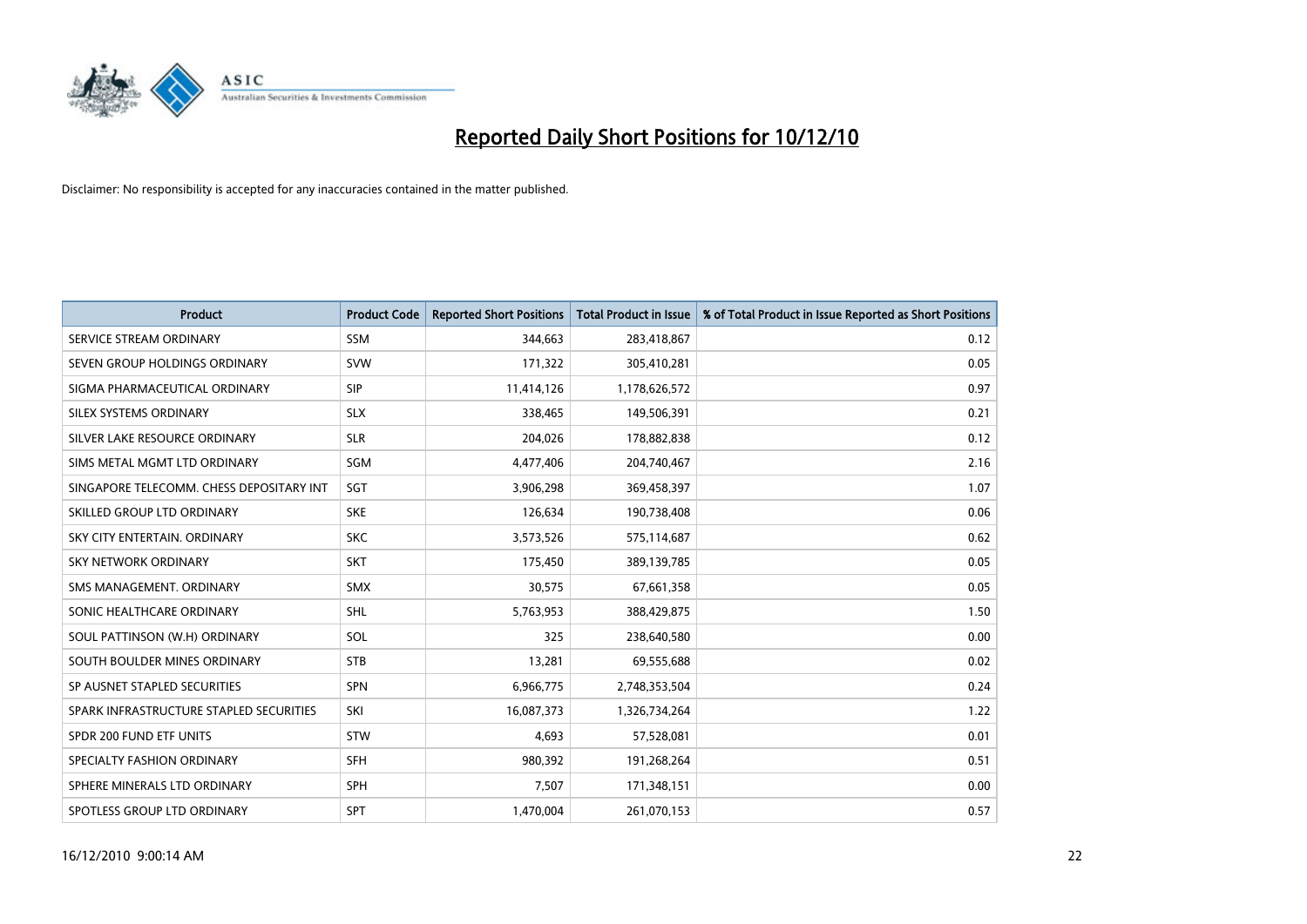

| <b>Product</b>                           | <b>Product Code</b> | <b>Reported Short Positions</b> | <b>Total Product in Issue</b> | % of Total Product in Issue Reported as Short Positions |
|------------------------------------------|---------------------|---------------------------------|-------------------------------|---------------------------------------------------------|
| SERVICE STREAM ORDINARY                  | <b>SSM</b>          | 344,663                         | 283,418,867                   | 0.12                                                    |
| SEVEN GROUP HOLDINGS ORDINARY            | <b>SVW</b>          | 171,322                         | 305,410,281                   | 0.05                                                    |
| SIGMA PHARMACEUTICAL ORDINARY            | <b>SIP</b>          | 11,414,126                      | 1,178,626,572                 | 0.97                                                    |
| SILEX SYSTEMS ORDINARY                   | <b>SLX</b>          | 338,465                         | 149,506,391                   | 0.21                                                    |
| SILVER LAKE RESOURCE ORDINARY            | <b>SLR</b>          | 204,026                         | 178,882,838                   | 0.12                                                    |
| SIMS METAL MGMT LTD ORDINARY             | SGM                 | 4,477,406                       | 204,740,467                   | 2.16                                                    |
| SINGAPORE TELECOMM. CHESS DEPOSITARY INT | <b>SGT</b>          | 3,906,298                       | 369,458,397                   | 1.07                                                    |
| SKILLED GROUP LTD ORDINARY               | <b>SKE</b>          | 126,634                         | 190,738,408                   | 0.06                                                    |
| SKY CITY ENTERTAIN. ORDINARY             | <b>SKC</b>          | 3,573,526                       | 575,114,687                   | 0.62                                                    |
| <b>SKY NETWORK ORDINARY</b>              | <b>SKT</b>          | 175,450                         | 389,139,785                   | 0.05                                                    |
| SMS MANAGEMENT, ORDINARY                 | <b>SMX</b>          | 30,575                          | 67,661,358                    | 0.05                                                    |
| SONIC HEALTHCARE ORDINARY                | <b>SHL</b>          | 5,763,953                       | 388,429,875                   | 1.50                                                    |
| SOUL PATTINSON (W.H) ORDINARY            | SOL                 | 325                             | 238,640,580                   | 0.00                                                    |
| SOUTH BOULDER MINES ORDINARY             | <b>STB</b>          | 13,281                          | 69,555,688                    | 0.02                                                    |
| SP AUSNET STAPLED SECURITIES             | <b>SPN</b>          | 6,966,775                       | 2,748,353,504                 | 0.24                                                    |
| SPARK INFRASTRUCTURE STAPLED SECURITIES  | SKI                 | 16,087,373                      | 1,326,734,264                 | 1.22                                                    |
| SPDR 200 FUND ETF UNITS                  | <b>STW</b>          | 4,693                           | 57,528,081                    | 0.01                                                    |
| SPECIALTY FASHION ORDINARY               | <b>SFH</b>          | 980,392                         | 191,268,264                   | 0.51                                                    |
| SPHERE MINERALS LTD ORDINARY             | <b>SPH</b>          | 7,507                           | 171,348,151                   | 0.00                                                    |
| SPOTLESS GROUP LTD ORDINARY              | <b>SPT</b>          | 1.470.004                       | 261,070,153                   | 0.57                                                    |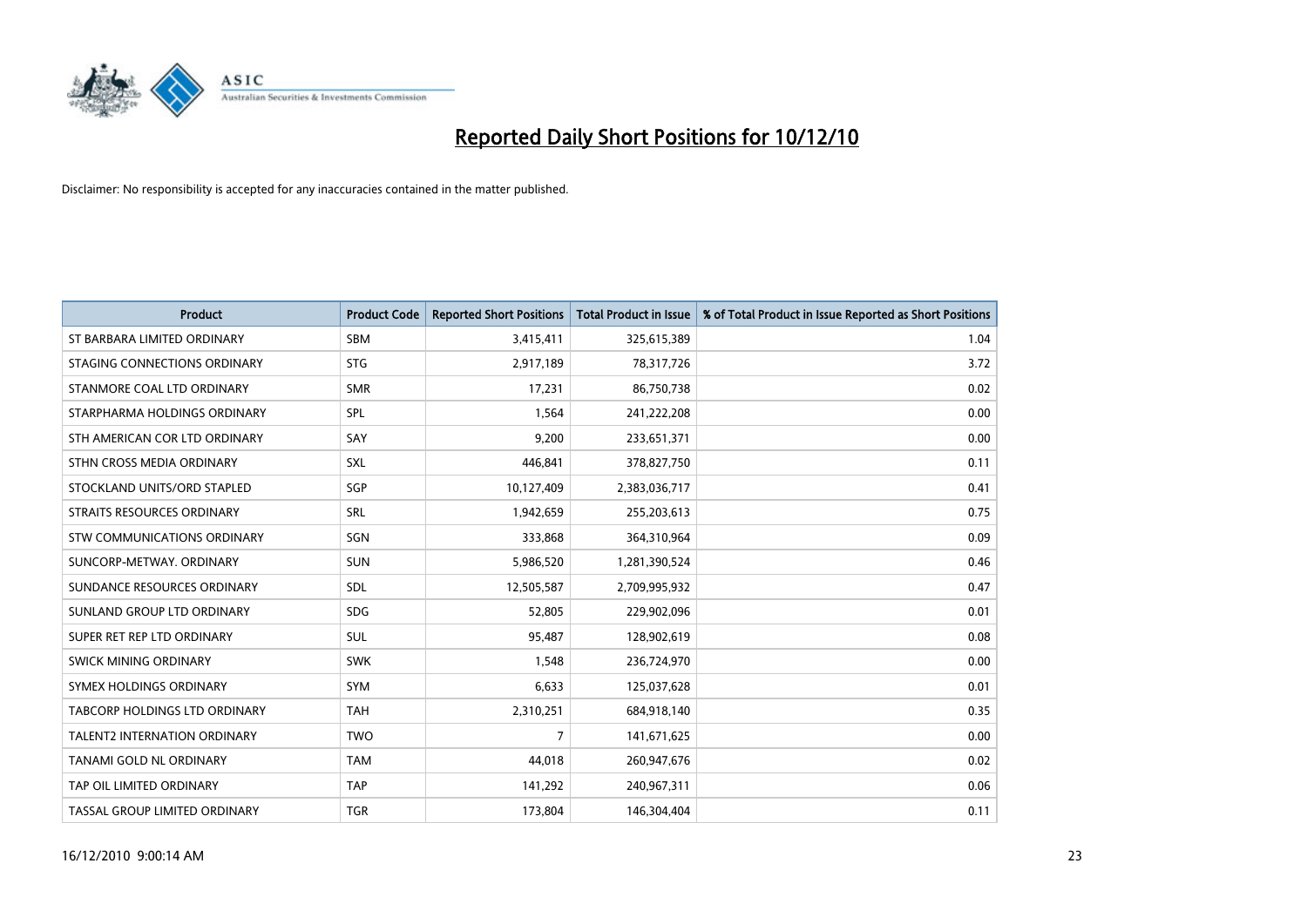

| Product                             | <b>Product Code</b> | <b>Reported Short Positions</b> | Total Product in Issue | % of Total Product in Issue Reported as Short Positions |
|-------------------------------------|---------------------|---------------------------------|------------------------|---------------------------------------------------------|
| ST BARBARA LIMITED ORDINARY         | <b>SBM</b>          | 3,415,411                       | 325,615,389            | 1.04                                                    |
| STAGING CONNECTIONS ORDINARY        | <b>STG</b>          | 2,917,189                       | 78,317,726             | 3.72                                                    |
| STANMORE COAL LTD ORDINARY          | <b>SMR</b>          | 17,231                          | 86,750,738             | 0.02                                                    |
| STARPHARMA HOLDINGS ORDINARY        | SPL                 | 1,564                           | 241,222,208            | 0.00                                                    |
| STH AMERICAN COR LTD ORDINARY       | SAY                 | 9,200                           | 233,651,371            | 0.00                                                    |
| STHN CROSS MEDIA ORDINARY           | <b>SXL</b>          | 446.841                         | 378,827,750            | 0.11                                                    |
| STOCKLAND UNITS/ORD STAPLED         | SGP                 | 10,127,409                      | 2,383,036,717          | 0.41                                                    |
| STRAITS RESOURCES ORDINARY          | <b>SRL</b>          | 1,942,659                       | 255,203,613            | 0.75                                                    |
| STW COMMUNICATIONS ORDINARY         | SGN                 | 333,868                         | 364,310,964            | 0.09                                                    |
| SUNCORP-METWAY, ORDINARY            | <b>SUN</b>          | 5,986,520                       | 1,281,390,524          | 0.46                                                    |
| SUNDANCE RESOURCES ORDINARY         | SDL                 | 12,505,587                      | 2,709,995,932          | 0.47                                                    |
| SUNLAND GROUP LTD ORDINARY          | <b>SDG</b>          | 52,805                          | 229,902,096            | 0.01                                                    |
| SUPER RET REP LTD ORDINARY          | <b>SUL</b>          | 95,487                          | 128,902,619            | 0.08                                                    |
| SWICK MINING ORDINARY               | <b>SWK</b>          | 1,548                           | 236,724,970            | 0.00                                                    |
| SYMEX HOLDINGS ORDINARY             | SYM                 | 6,633                           | 125,037,628            | 0.01                                                    |
| TABCORP HOLDINGS LTD ORDINARY       | <b>TAH</b>          | 2,310,251                       | 684,918,140            | 0.35                                                    |
| <b>TALENT2 INTERNATION ORDINARY</b> | <b>TWO</b>          | 7                               | 141,671,625            | 0.00                                                    |
| TANAMI GOLD NL ORDINARY             | <b>TAM</b>          | 44,018                          | 260,947,676            | 0.02                                                    |
| TAP OIL LIMITED ORDINARY            | <b>TAP</b>          | 141,292                         | 240,967,311            | 0.06                                                    |
| TASSAL GROUP LIMITED ORDINARY       | <b>TGR</b>          | 173,804                         | 146,304,404            | 0.11                                                    |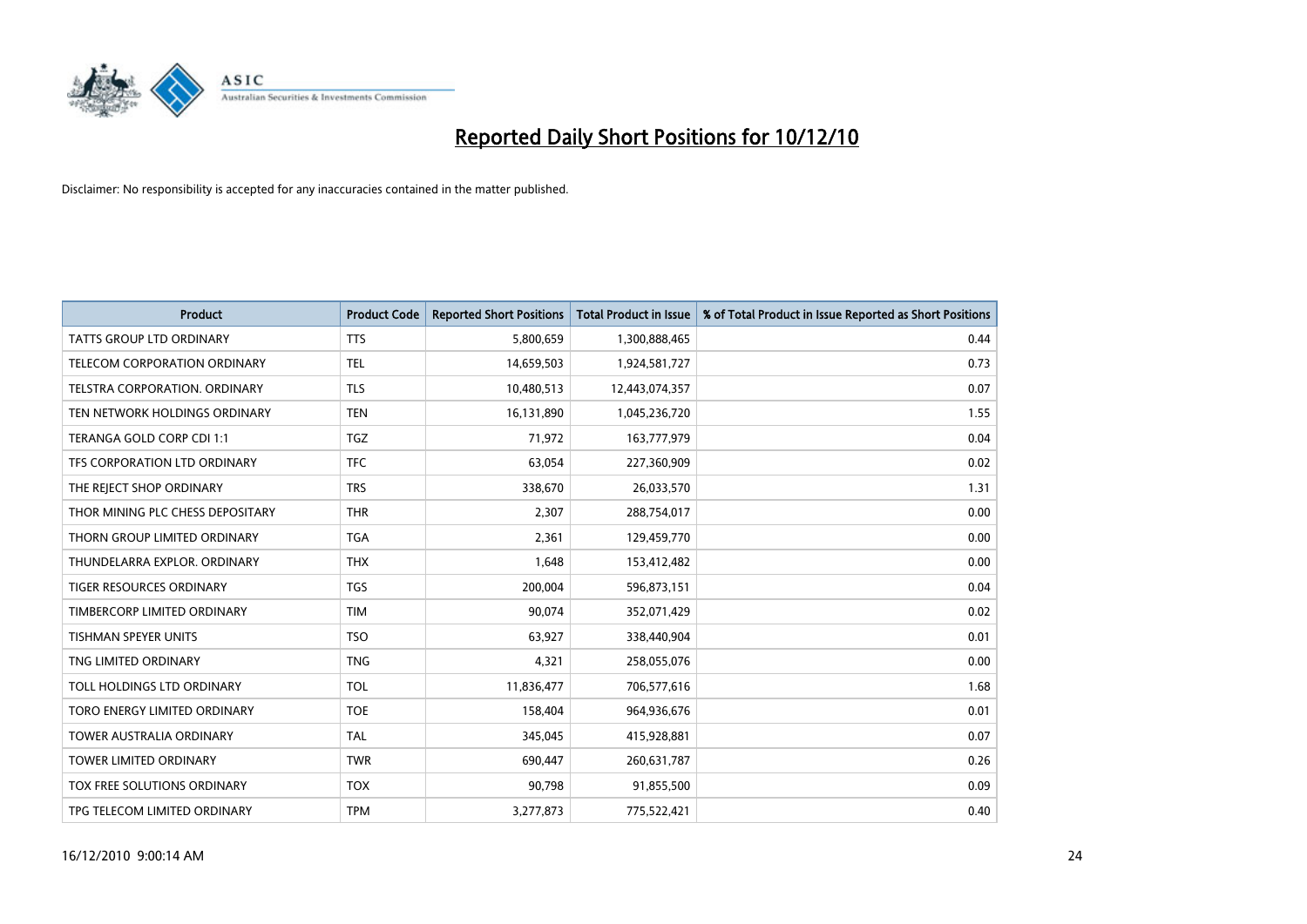

| <b>Product</b>                       | <b>Product Code</b> | <b>Reported Short Positions</b> | Total Product in Issue | % of Total Product in Issue Reported as Short Positions |
|--------------------------------------|---------------------|---------------------------------|------------------------|---------------------------------------------------------|
| <b>TATTS GROUP LTD ORDINARY</b>      | <b>TTS</b>          | 5,800,659                       | 1,300,888,465          | 0.44                                                    |
| TELECOM CORPORATION ORDINARY         | <b>TEL</b>          | 14,659,503                      | 1,924,581,727          | 0.73                                                    |
| <b>TELSTRA CORPORATION, ORDINARY</b> | <b>TLS</b>          | 10,480,513                      | 12,443,074,357         | 0.07                                                    |
| TEN NETWORK HOLDINGS ORDINARY        | <b>TEN</b>          | 16,131,890                      | 1,045,236,720          | 1.55                                                    |
| TERANGA GOLD CORP CDI 1:1            | <b>TGZ</b>          | 71,972                          | 163,777,979            | 0.04                                                    |
| TFS CORPORATION LTD ORDINARY         | <b>TFC</b>          | 63,054                          | 227,360,909            | 0.02                                                    |
| THE REJECT SHOP ORDINARY             | <b>TRS</b>          | 338,670                         | 26,033,570             | 1.31                                                    |
| THOR MINING PLC CHESS DEPOSITARY     | <b>THR</b>          | 2,307                           | 288,754,017            | 0.00                                                    |
| THORN GROUP LIMITED ORDINARY         | <b>TGA</b>          | 2,361                           | 129,459,770            | 0.00                                                    |
| THUNDELARRA EXPLOR, ORDINARY         | <b>THX</b>          | 1,648                           | 153,412,482            | 0.00                                                    |
| TIGER RESOURCES ORDINARY             | <b>TGS</b>          | 200,004                         | 596,873,151            | 0.04                                                    |
| TIMBERCORP LIMITED ORDINARY          | <b>TIM</b>          | 90,074                          | 352,071,429            | 0.02                                                    |
| <b>TISHMAN SPEYER UNITS</b>          | <b>TSO</b>          | 63,927                          | 338,440,904            | 0.01                                                    |
| TNG LIMITED ORDINARY                 | <b>TNG</b>          | 4,321                           | 258,055,076            | 0.00                                                    |
| TOLL HOLDINGS LTD ORDINARY           | <b>TOL</b>          | 11,836,477                      | 706,577,616            | 1.68                                                    |
| TORO ENERGY LIMITED ORDINARY         | <b>TOE</b>          | 158,404                         | 964,936,676            | 0.01                                                    |
| <b>TOWER AUSTRALIA ORDINARY</b>      | <b>TAL</b>          | 345,045                         | 415,928,881            | 0.07                                                    |
| TOWER LIMITED ORDINARY               | <b>TWR</b>          | 690,447                         | 260,631,787            | 0.26                                                    |
| TOX FREE SOLUTIONS ORDINARY          | <b>TOX</b>          | 90,798                          | 91,855,500             | 0.09                                                    |
| TPG TELECOM LIMITED ORDINARY         | <b>TPM</b>          | 3,277,873                       | 775,522,421            | 0.40                                                    |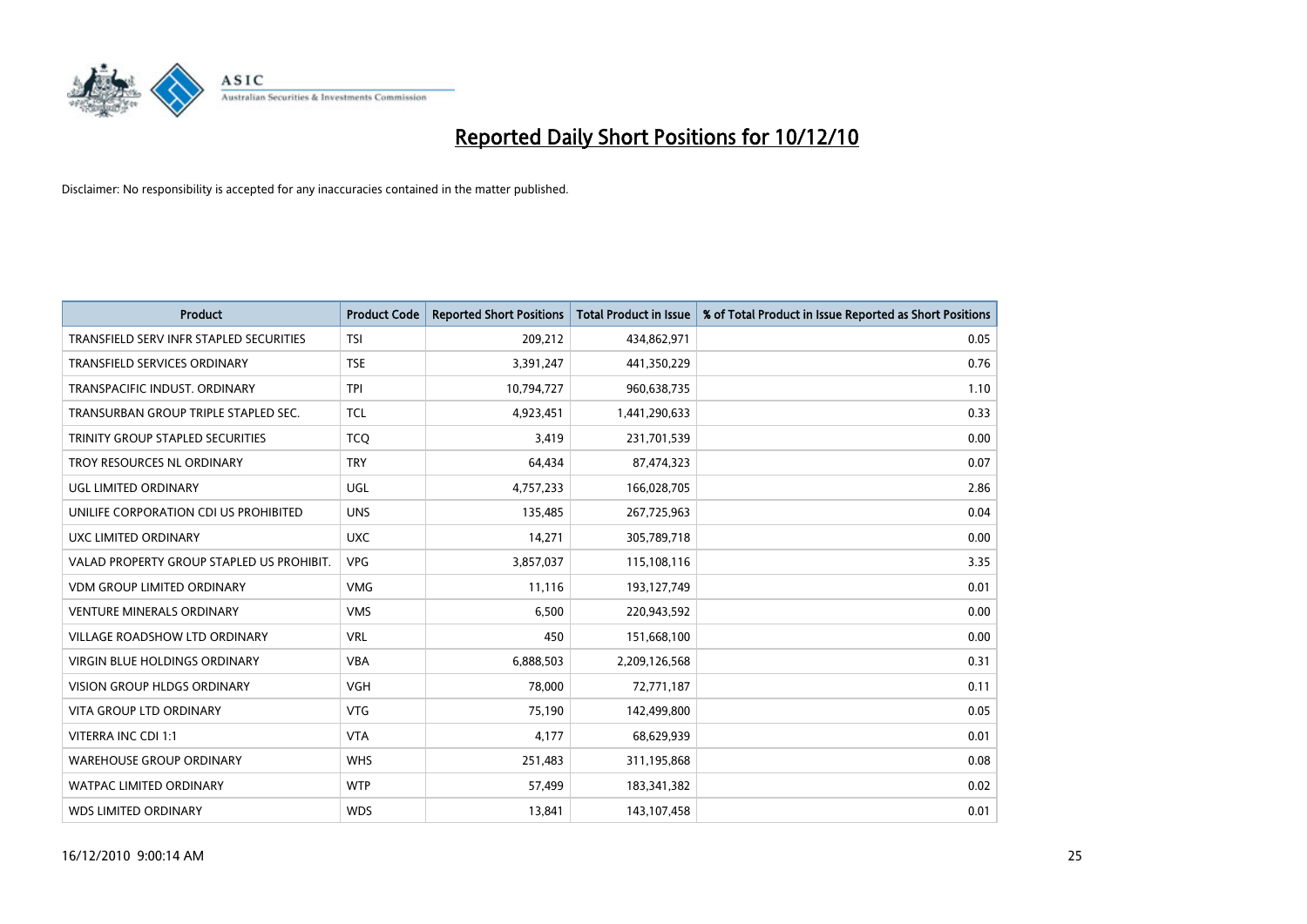

| <b>Product</b>                            | <b>Product Code</b> | <b>Reported Short Positions</b> | Total Product in Issue | % of Total Product in Issue Reported as Short Positions |
|-------------------------------------------|---------------------|---------------------------------|------------------------|---------------------------------------------------------|
| TRANSFIELD SERV INFR STAPLED SECURITIES   | <b>TSI</b>          | 209,212                         | 434,862,971            | 0.05                                                    |
| <b>TRANSFIELD SERVICES ORDINARY</b>       | <b>TSE</b>          | 3,391,247                       | 441,350,229            | 0.76                                                    |
| TRANSPACIFIC INDUST, ORDINARY             | <b>TPI</b>          | 10,794,727                      | 960,638,735            | 1.10                                                    |
| TRANSURBAN GROUP TRIPLE STAPLED SEC.      | <b>TCL</b>          | 4,923,451                       | 1,441,290,633          | 0.33                                                    |
| TRINITY GROUP STAPLED SECURITIES          | <b>TCO</b>          | 3,419                           | 231,701,539            | 0.00                                                    |
| TROY RESOURCES NL ORDINARY                | <b>TRY</b>          | 64,434                          | 87,474,323             | 0.07                                                    |
| UGL LIMITED ORDINARY                      | <b>UGL</b>          | 4,757,233                       | 166,028,705            | 2.86                                                    |
| UNILIFE CORPORATION CDI US PROHIBITED     | <b>UNS</b>          | 135,485                         | 267,725,963            | 0.04                                                    |
| UXC LIMITED ORDINARY                      | <b>UXC</b>          | 14,271                          | 305,789,718            | 0.00                                                    |
| VALAD PROPERTY GROUP STAPLED US PROHIBIT. | <b>VPG</b>          | 3,857,037                       | 115,108,116            | 3.35                                                    |
| <b>VDM GROUP LIMITED ORDINARY</b>         | <b>VMG</b>          | 11.116                          | 193,127,749            | 0.01                                                    |
| <b>VENTURE MINERALS ORDINARY</b>          | <b>VMS</b>          | 6,500                           | 220,943,592            | 0.00                                                    |
| <b>VILLAGE ROADSHOW LTD ORDINARY</b>      | <b>VRL</b>          | 450                             | 151,668,100            | 0.00                                                    |
| <b>VIRGIN BLUE HOLDINGS ORDINARY</b>      | <b>VBA</b>          | 6,888,503                       | 2,209,126,568          | 0.31                                                    |
| <b>VISION GROUP HLDGS ORDINARY</b>        | <b>VGH</b>          | 78,000                          | 72,771,187             | 0.11                                                    |
| <b>VITA GROUP LTD ORDINARY</b>            | <b>VTG</b>          | 75,190                          | 142,499,800            | 0.05                                                    |
| VITERRA INC CDI 1:1                       | <b>VTA</b>          | 4,177                           | 68,629,939             | 0.01                                                    |
| <b>WAREHOUSE GROUP ORDINARY</b>           | <b>WHS</b>          | 251,483                         | 311,195,868            | 0.08                                                    |
| <b>WATPAC LIMITED ORDINARY</b>            | <b>WTP</b>          | 57,499                          | 183,341,382            | 0.02                                                    |
| <b>WDS LIMITED ORDINARY</b>               | <b>WDS</b>          | 13,841                          | 143,107,458            | 0.01                                                    |